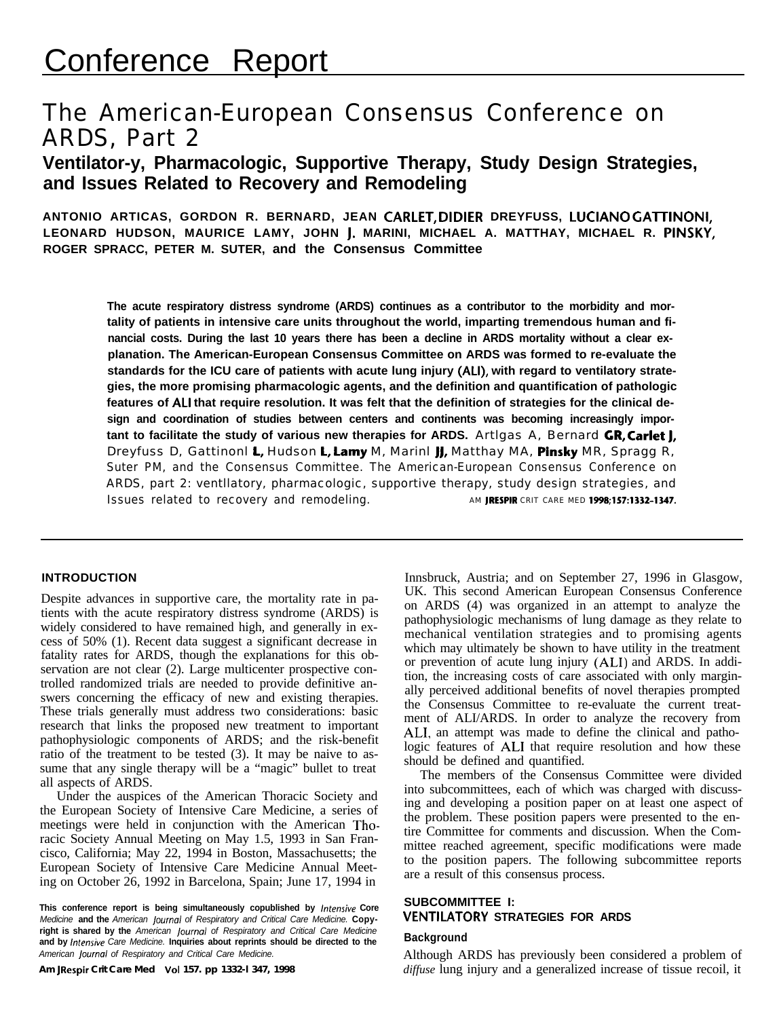# The American-European Consensus Conference on ARDS, Part 2

**Ventilator-y, Pharmacologic, Supportive Therapy, Study Design Strategies, and Issues Related to Recovery and Remodeling**

**ANTONIO ARTICAS, GORDON R. BERNARD, JEAN CARLET, DIDIER DREYFUSS, LUCIANO CAlTINONI, LEONARD HUDSON, MAURICE LAMY, JOHN J. MARINI, MICHAEL A. MATTHAY, MICHAEL R. PINSKY, ROGER SPRACC, PETER M. SUTER, and the Consensus Committee**

**The acute respiratory distress syndrome (ARDS) continues as a contributor to the morbidity and mortality of patients in intensive care units throughout the world, imparting tremendous human and financial costs. During the last 10 years there has been a decline in ARDS mortality without a clear explanation. The American-European Consensus Committee on ARDS was formed to re-evaluate the standards for the ICU care of patients with acute lung injury (ALI), with regard to ventilatory strategies, the more promising pharmacologic agents, and the definition and quantification of pathologic features of ALI that require resolution. It was felt that the definition of strategies for the clinical design and coordination of studies between centers and continents was becoming increasingly important to facilitate the study of various new therapies for ARDS.** Artlgas A, Bernard CR, Carlet J, Dreyfuss D, Gattinonl L, Hudson L, Lamy M, Marinl JJ, Matthay MA, Pinsky MR, Spragg R, Suter PM, and the Consensus Committee. The American-European Consensus Conference on ARDS, part 2: ventllatory, pharmacologic, supportive therapy, study design strategies, and Issues related to recovery and remodeling. AM JRESPIR CRIT CARE MED 1998;157:1332-1347.

# **INTRODUCTION**

Despite advances in supportive care, the mortality rate in patients with the acute respiratory distress syndrome (ARDS) is widely considered to have remained high, and generally in excess of 50% (1). Recent data suggest a significant decrease in fatality rates for ARDS, though the explanations for this observation are not clear (2). Large multicenter prospective controlled randomized trials are needed to provide definitive answers concerning the efficacy of new and existing therapies. These trials generally must address two considerations: basic research that links the proposed new treatment to important pathophysiologic components of ARDS; and the risk-benefit ratio of the treatment to be tested (3). It may be naive to assume that any single therapy will be a "magic" bullet to treat all aspects of ARDS.

Under the auspices of the American Thoracic Society and the European Society of Intensive Care Medicine, a series of meetings were held in conjunction with the American Thoracic Society Annual Meeting on May 1.5, 1993 in San Francisco, California; May 22, 1994 in Boston, Massachusetts; the European Society of Intensive Care Medicine Annual Meeting on October 26, 1992 in Barcelona, Spain; June 17, 1994 in

**This conference report is being simultaneously copublished by intensive Core** *Medicine* **and the** *American journal of Respiratory and Critical Care Medicine.* **Copyright is shared by the** *American /ourno/ of Respiratory and Critical Care Medicine* **and by** *intensive Care Medicine.* **Inquiries about reprints should be directed to the** *American journal of Respiratory and Critical Care Medicine.*

Innsbruck, Austria; and on September 27, 1996 in Glasgow, UK. This second American European Consensus Conference on ARDS (4) was organized in an attempt to analyze the pathophysiologic mechanisms of lung damage as they relate to mechanical ventilation strategies and to promising agents which may ultimately be shown to have utility in the treatment or prevention of acute lung injury (ALI) and ARDS. In addition, the increasing costs of care associated with only marginally perceived additional benefits of novel therapies prompted the Consensus Committee to re-evaluate the current treatment of ALI/ARDS. In order to analyze the recovery from ALI, an attempt was made to define the clinical and pathologic features of AL1 that require resolution and how these should be defined and quantified.

The members of the Consensus Committee were divided into subcommittees, each of which was charged with discussing and developing a position paper on at least one aspect of the problem. These position papers were presented to the entire Committee for comments and discussion. When the Committee reached agreement, specific modifications were made to the position papers. The following subcommittee reports are a result of this consensus process.

# **SUBCOMMITTEE I: VENTILATORY STRATEGIES FOR ARDS**

# **Background**

Although ARDS has previously been considered a problem of *diffuse* lung injury and a generalized increase of tissue recoil, it

**Am** <sup>J</sup> **Respir Crit Care Med Vol 157. pp 1332-l 347, 1998**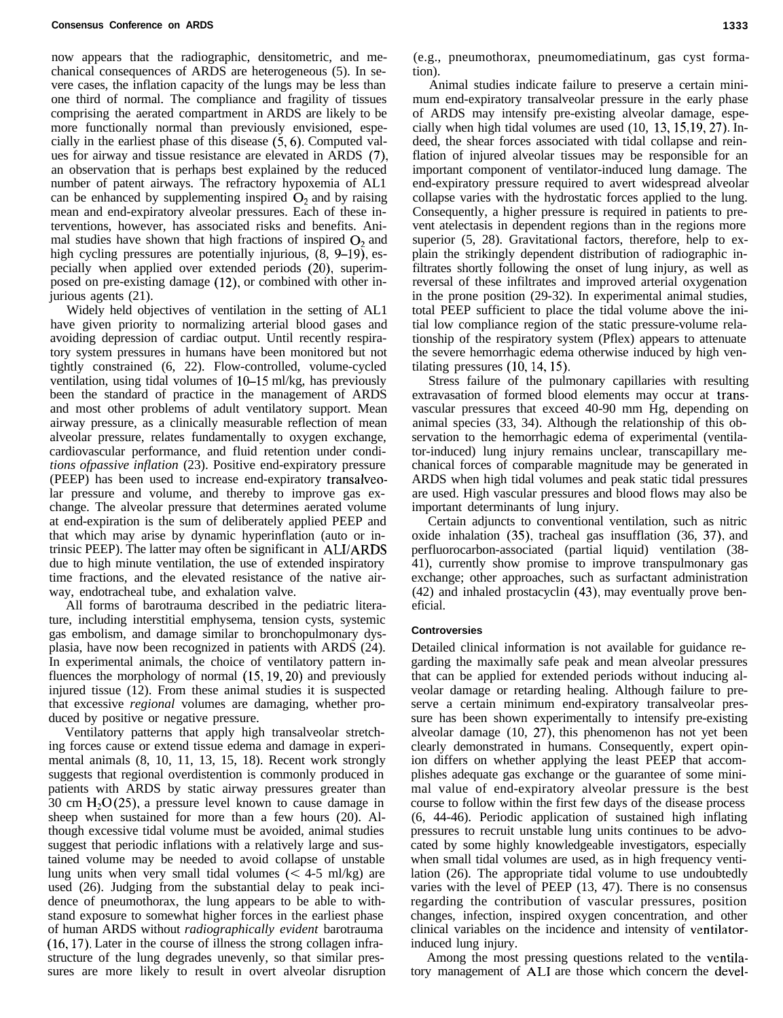#### **Consensus Conference on ARDS 1333**

now appears that the radiographic, densitometric, and mechanical consequences of ARDS are heterogeneous (5). In severe cases, the inflation capacity of the lungs may be less than one third of normal. The compliance and fragility of tissues comprising the aerated compartment in ARDS are likely to be more functionally normal than previously envisioned, especially in the earliest phase of this disease (5,6). Computed values for airway and tissue resistance are elevated in ARDS (7), an observation that is perhaps best explained by the reduced number of patent airways. The refractory hypoxemia of AL1 can be enhanced by supplementing inspired  $\overline{O}_2$  and by raising mean and end-expiratory alveolar pressures. Each of these interventions, however, has associated risks and benefits. Animal studies have shown that high fractions of inspired  $O<sub>2</sub>$  and high cycling pressures are potentially injurious,  $(8, 9-19)$ , especially when applied over extended periods (20), superimposed on pre-existing damage (12), or combined with other injurious agents (21).

Widely held objectives of ventilation in the setting of AL1 have given priority to normalizing arterial blood gases and avoiding depression of cardiac output. Until recently respiratory system pressures in humans have been monitored but not tightly constrained (6, 22). Flow-controlled, volume-cycled ventilation, using tidal volumes of  $10-15$  ml/kg, has previously been the standard of practice in the management of ARDS and most other problems of adult ventilatory support. Mean airway pressure, as a clinically measurable reflection of mean alveolar pressure, relates fundamentally to oxygen exchange, cardiovascular performance, and fluid retention under condi*tions ofpassive inflation* (23). Positive end-expiratory pressure (PEEP) has been used to increase end-expiratory transalveolar pressure and volume, and thereby to improve gas exchange. The alveolar pressure that determines aerated volume at end-expiration is the sum of deliberately applied PEEP and that which may arise by dynamic hyperinflation (auto or intrinsic PEEP). The latter may often be significant in ALUARDS due to high minute ventilation, the use of extended inspiratory time fractions, and the elevated resistance of the native airway, endotracheal tube, and exhalation valve.

All forms of barotrauma described in the pediatric literature, including interstitial emphysema, tension cysts, systemic gas embolism, and damage similar to bronchopulmonary dysplasia, have now been recognized in patients with ARDS (24). In experimental animals, the choice of ventilatory pattern influences the morphology of normal (15,19,20) and previously injured tissue (12). From these animal studies it is suspected that excessive *regional* volumes are damaging, whether produced by positive or negative pressure.

Ventilatory patterns that apply high transalveolar stretching forces cause or extend tissue edema and damage in experimental animals (8, 10, 11, 13, 15, 18). Recent work strongly suggests that regional overdistention is commonly produced in patients with ARDS by static airway pressures greater than 30 cm  $H_2O(25)$ , a pressure level known to cause damage in sheep when sustained for more than a few hours (20). Although excessive tidal volume must be avoided, animal studies suggest that periodic inflations with a relatively large and sustained volume may be needed to avoid collapse of unstable lung units when very small tidal volumes  $(< 4-5$  ml/kg) are used (26). Judging from the substantial delay to peak incidence of pneumothorax, the lung appears to be able to withstand exposure to somewhat higher forces in the earliest phase of human ARDS without *radiographically evident* barotrauma (16,17). Later in the course of illness the strong collagen infrastructure of the lung degrades unevenly, so that similar pressures are more likely to result in overt alveolar disruption

Animal studies indicate failure to preserve a certain minimum end-expiratory transalveolar pressure in the early phase of ARDS may intensify pre-existing alveolar damage, especially when high tidal volumes are used (10, 13,15, 19,27). Indeed, the shear forces associated with tidal collapse and reinflation of injured alveolar tissues may be responsible for an important component of ventilator-induced lung damage. The end-expiratory pressure required to avert widespread alveolar collapse varies with the hydrostatic forces applied to the lung. Consequently, a higher pressure is required in patients to prevent atelectasis in dependent regions than in the regions more superior  $(5, 28)$ . Gravitational factors, therefore, help to explain the strikingly dependent distribution of radiographic infiltrates shortly following the onset of lung injury, as well as reversal of these infiltrates and improved arterial oxygenation in the prone position (29-32). In experimental animal studies, total PEEP sufficient to place the tidal volume above the initial low compliance region of the static pressure-volume relationship of the respiratory system (Pflex) appears to attenuate the severe hemorrhagic edema otherwise induced by high ventilating pressures  $(10, 14, 15)$ .

Stress failure of the pulmonary capillaries with resulting extravasation of formed blood elements may occur at transvascular pressures that exceed 40-90 mm Hg, depending on animal species (33, 34). Although the relationship of this observation to the hemorrhagic edema of experimental (ventilator-induced) lung injury remains unclear, transcapillary mechanical forces of comparable magnitude may be generated in ARDS when high tidal volumes and peak static tidal pressures are used. High vascular pressures and blood flows may also be important determinants of lung injury.

Certain adjuncts to conventional ventilation, such as nitric oxide inhalation (35), tracheal gas insufflation (36, 37), and perfluorocarbon-associated (partial liquid) ventilation (38- 41), currently show promise to improve transpulmonary gas exchange; other approaches, such as surfactant administration  $(42)$  and inhaled prostacyclin  $(43)$ , may eventually prove beneficial.

#### **Controversies**

Detailed clinical information is not available for guidance regarding the maximally safe peak and mean alveolar pressures that can be applied for extended periods without inducing alveolar damage or retarding healing. Although failure to preserve a certain minimum end-expiratory transalveolar pressure has been shown experimentally to intensify pre-existing alveolar damage  $(10, 27)$ , this phenomenon has not yet been clearly demonstrated in humans. Consequently, expert opinion differs on whether applying the least PEEP that accomplishes adequate gas exchange or the guarantee of some minimal value of end-expiratory alveolar pressure is the best course to follow within the first few days of the disease process (6, 44-46). Periodic application of sustained high inflating pressures to recruit unstable lung units continues to be advocated by some highly knowledgeable investigators, especially when small tidal volumes are used, as in high frequency ventilation (26). The appropriate tidal volume to use undoubtedly varies with the level of PEEP (13, 47). There is no consensus regarding the contribution of vascular pressures, position changes, infection, inspired oxygen concentration, and other clinical variables on the incidence and intensity of ventilatorinduced lung injury.

Among the most pressing questions related to the ventilatory management of AL1 are those which concern the devel-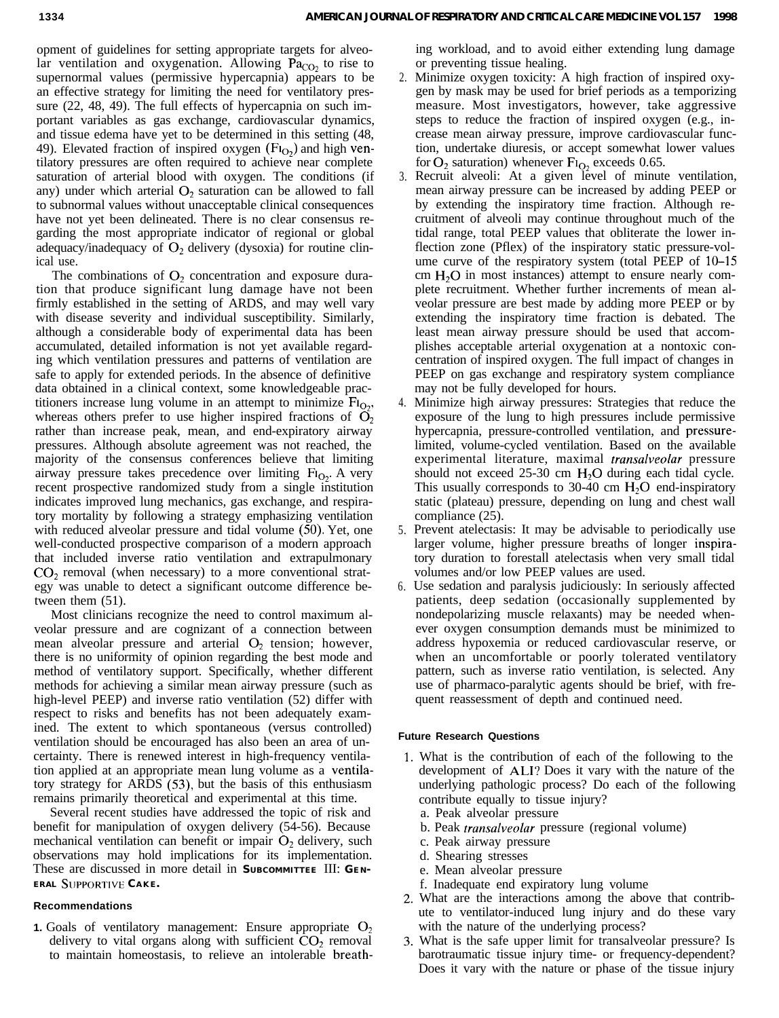opment of guidelines for setting appropriate targets for alveolar ventilation and oxygenation. Allowing  $Pa_{CO<sub>2</sub>}$  to rise to supernormal values (permissive hypercapnia) appears to be an effective strategy for limiting the need for ventilatory pressure (22, 48, 49). The full effects of hypercapnia on such important variables as gas exchange, cardiovascular dynamics, and tissue edema have yet to be determined in this setting (48, 49). Elevated fraction of inspired oxygen  $(F<sub>10</sub>)$  and high ventilatory pressures are often required to achieve near complete saturation of arterial blood with oxygen. The conditions (if any) under which arterial  $O_2$  saturation can be allowed to fall to subnormal values without unacceptable clinical consequences have not yet been delineated. There is no clear consensus regarding the most appropriate indicator of regional or global adequacy/inadequacy of  $O_2$  delivery (dysoxia) for routine clinical use.

The combinations of  $O_2$  concentration and exposure duration that produce significant lung damage have not been firmly established in the setting of ARDS, and may well vary with disease severity and individual susceptibility. Similarly, although a considerable body of experimental data has been accumulated, detailed information is not yet available regarding which ventilation pressures and patterns of ventilation are safe to apply for extended periods. In the absence of definitive data obtained in a clinical context, some knowledgeable practitioners increase lung volume in an attempt to minimize  $Fi<sub>O<sub>2</sub></sub>$ , whereas others prefer to use higher inspired fractions of  $O<sub>2</sub>$ rather than increase peak, mean, and end-expiratory airway pressures. Although absolute agreement was not reached, the majority of the consensus conferences believe that limiting airway pressure takes precedence over limiting  $Fi<sub>O</sub>$ . A very recent prospective randomized study from a single institution indicates improved lung mechanics, gas exchange, and respiratory mortality by following a strategy emphasizing ventilation with reduced alveolar pressure and tidal volume (50). Yet, one well-conducted prospective comparison of a modern approach that included inverse ratio ventilation and extrapulmonary  $CO<sub>2</sub>$  removal (when necessary) to a more conventional strategy was unable to detect a significant outcome difference between them (51).

Most clinicians recognize the need to control maximum alveolar pressure and are cognizant of a connection between mean alveolar pressure and arterial  $O_2$  tension; however, there is no uniformity of opinion regarding the best mode and method of ventilatory support. Specifically, whether different methods for achieving a similar mean airway pressure (such as high-level PEEP) and inverse ratio ventilation (52) differ with respect to risks and benefits has not been adequately examined. The extent to which spontaneous (versus controlled) ventilation should be encouraged has also been an area of uncertainty. There is renewed interest in high-frequency ventilation applied at an appropriate mean lung volume as a ventilatory strategy for ARDS (53), but the basis of this enthusiasm remains primarily theoretical and experimental at this time.

Several recent studies have addressed the topic of risk and benefit for manipulation of oxygen delivery (54-56). Because mechanical ventilation can benefit or impair  $O_2$  delivery, such observations may hold implications for its implementation. These are discussed in more detail in **SUBCOMMITTEE** III: GEN-**ERAL SUPPORTIVE CAKE.**

# **Recommendations**

**1.** Goals of ventilatory management: Ensure appropriate  $O_2$ delivery to vital organs along with sufficient  $CO<sub>2</sub>$  removal to maintain homeostasis, to relieve an intolerable breathing workload, and to avoid either extending lung damage or preventing tissue healing.

- 2. Minimize oxygen toxicity: A high fraction of inspired oxygen by mask may be used for brief periods as a temporizing measure. Most investigators, however, take aggressive steps to reduce the fraction of inspired oxygen (e.g., increase mean airway pressure, improve cardiovascular function, undertake diuresis, or accept somewhat lower values for  $O_2$  saturation) whenever  $F_{1O_2}$  exceeds 0.65.
- 3. Recruit alveoli: At a given level of minute ventilation, mean airway pressure can be increased by adding PEEP or by extending the inspiratory time fraction. Although recruitment of alveoli may continue throughout much of the tidal range, total PEEP values that obliterate the lower inflection zone (Pflex) of the inspiratory static pressure-volume curve of the respiratory system (total PEEP of 10-15 cm  $H<sub>2</sub>O$  in most instances) attempt to ensure nearly complete recruitment. Whether further increments of mean alveolar pressure are best made by adding more PEEP or by extending the inspiratory time fraction is debated. The least mean airway pressure should be used that accomplishes acceptable arterial oxygenation at a nontoxic concentration of inspired oxygen. The full impact of changes in PEEP on gas exchange and respiratory system compliance may not be fully developed for hours.
- 4. Minimize high airway pressures: Strategies that reduce the exposure of the lung to high pressures include permissive hypercapnia, pressure-controlled ventilation, and pressurelimited, volume-cycled ventilation. Based on the available experimental literature, maximal *transalveolar* pressure should not exceed  $25-30$  cm  $H<sub>2</sub>O$  during each tidal cycle. This usually corresponds to 30-40 cm  $H_2O$  end-inspiratory static (plateau) pressure, depending on lung and chest wall compliance (25).
- 5. Prevent atelectasis: It may be advisable to periodically use larger volume, higher pressure breaths of longer inspiratory duration to forestall atelectasis when very small tidal volumes and/or low PEEP values are used.
- 6. Use sedation and paralysis judiciously: In seriously affected patients, deep sedation (occasionally supplemented by nondepolarizing muscle relaxants) may be needed whenever oxygen consumption demands must be minimized to address hypoxemia or reduced cardiovascular reserve, or when an uncomfortable or poorly tolerated ventilatory pattern, such as inverse ratio ventilation, is selected. Any use of pharmaco-paralytic agents should be brief, with frequent reassessment of depth and continued need.

#### **Future Research Questions**

- What is the contribution of each of the following to the development of ALI? Does it vary with the nature of the underlying pathologic process? Do each of the following contribute equally to tissue injury?
	- a. Peak alveolar pressure
	- b. Peak *trunsalveolar* pressure (regional volume)
	- c. Peak airway pressure
	- d. Shearing stresses
	- e. Mean alveolar pressure
	- f. Inadequate end expiratory lung volume
- What are the interactions among the above that contribute to ventilator-induced lung injury and do these vary with the nature of the underlying process?
- What is the safe upper limit for transalveolar pressure? Is barotraumatic tissue injury time- or frequency-dependent? Does it vary with the nature or phase of the tissue injury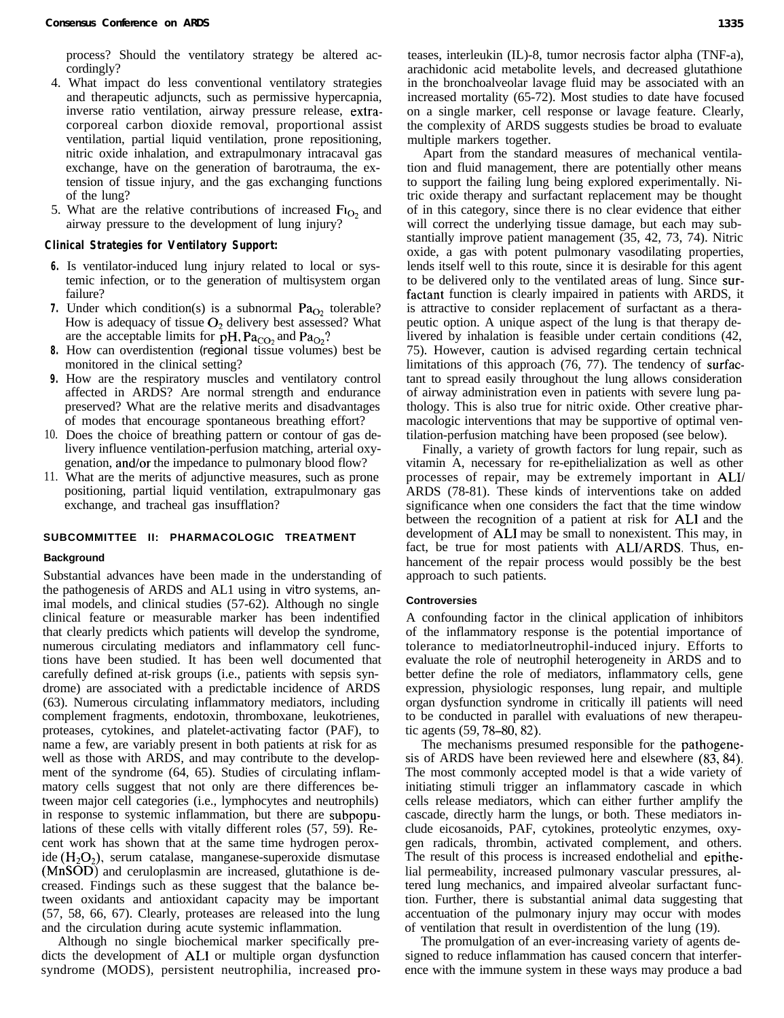process? Should the ventilatory strategy be altered accordingly?

- 4. What impact do less conventional ventilatory strategies and therapeutic adjuncts, such as permissive hypercapnia, inverse ratio ventilation, airway pressure release, extracorporeal carbon dioxide removal, proportional assist ventilation, partial liquid ventilation, prone repositioning, nitric oxide inhalation, and extrapulmonary intracaval gas exchange, have on the generation of barotrauma, the extension of tissue injury, and the gas exchanging functions of the lung?
- 5. What are the relative contributions of increased  $Fi<sub>O<sub>2</sub></sub>$  and airway pressure to the development of lung injury?

#### **Clinical Strategies for Ventilatory Support:**

- **6.** Is ventilator-induced lung injury related to local or systemic infection, or to the generation of multisystem organ failure?
- **7.** Under which condition(s) is a subnormal  $Pa<sub>O</sub>$ , tolerable? How is adequacy of tissue  $O_2$  delivery best assessed? What are the acceptable limits for  $pH$ ,  $Pa_{CO<sub>2</sub>}$  and  $Pa_{O<sub>2</sub>}$ ?
- **8.** How can overdistention *(regional* tissue volumes) best be monitored in the clinical setting?
- **9.** How are the respiratory muscles and ventilatory control affected in ARDS? Are normal strength and endurance preserved? What are the relative merits and disadvantages of modes that encourage spontaneous breathing effort?
- 10. Does the choice of breathing pattern or contour of gas delivery influence ventilation-perfusion matching, arterial oxygenation, and/or the impedance to pulmonary blood flow?
- 11. What are the merits of adjunctive measures, such as prone positioning, partial liquid ventilation, extrapulmonary gas exchange, and tracheal gas insufflation?

#### **SUBCOMMITTEE II: PHARMACOLOGIC TREATMENT**

#### **Background**

Substantial advances have been made in the understanding of the pathogenesis of ARDS and AL1 using in *vitro* systems, animal models, and clinical studies (57-62). Although no single clinical feature or measurable marker has been indentified that clearly predicts which patients will develop the syndrome, numerous circulating mediators and inflammatory cell functions have been studied. It has been well documented that carefully defined at-risk groups (i.e., patients with sepsis syndrome) are associated with a predictable incidence of ARDS (63). Numerous circulating inflammatory mediators, including complement fragments, endotoxin, thromboxane, leukotrienes, proteases, cytokines, and platelet-activating factor (PAF), to name a few, are variably present in both patients at risk for as well as those with ARDS, and may contribute to the development of the syndrome (64, 65). Studies of circulating inflammatory cells suggest that not only are there differences between major cell categories (i.e., lymphocytes and neutrophils) in response to systemic inflammation, but there are subpopulations of these cells with vitally different roles (57, 59). Recent work has shown that at the same time hydrogen peroxide  $(H_2O_2)$ , serum catalase, manganese-superoxide dismutase (MnSOD) and ceruloplasmin are increased, glutathione is decreased. Findings such as these suggest that the balance between oxidants and antioxidant capacity may be important (57, 58, 66, 67). Clearly, proteases are released into the lung and the circulation during acute systemic inflammation.

Although no single biochemical marker specifically pre- The promulgation of an ever-increasing variety of agents dedicts the development of ALI or multiple organ dysfunction signed to reduce inflammation has caused concern that interfersyndrome (MODS), persistent neutrophilia, increased pro- ence with the immune system in these ways may produce a bad

teases, interleukin (IL)-8, tumor necrosis factor alpha (TNF-a), arachidonic acid metabolite levels, and decreased glutathione in the bronchoalveolar lavage fluid may be associated with an increased mortality (65-72). Most studies to date have focused on a single marker, cell response or lavage feature. Clearly, the complexity of ARDS suggests studies be broad to evaluate multiple markers together.

Apart from the standard measures of mechanical ventilation and fluid management, there are potentially other means to support the failing lung being explored experimentally. Nitric oxide therapy and surfactant replacement may be thought of in this category, since there is no clear evidence that either will correct the underlying tissue damage, but each may substantially improve patient management (35, 42, 73, 74). Nitric oxide, a gas with potent pulmonary vasodilating properties, lends itself well to this route, since it is desirable for this agent to be delivered only to the ventilated areas of lung. Since surfactant function is clearly impaired in patients with ARDS, it is attractive to consider replacement of surfactant as a therapeutic option. A unique aspect of the lung is that therapy delivered by inhalation is feasible under certain conditions (42, 75). However, caution is advised regarding certain technical limitations of this approach (76, 77). The tendency of surfactant to spread easily throughout the lung allows consideration of airway administration even in patients with severe lung pathology. This is also true for nitric oxide. Other creative pharmacologic interventions that may be supportive of optimal ventilation-perfusion matching have been proposed (see below).

Finally, a variety of growth factors for lung repair, such as vitamin A, necessary for re-epithelialization as well as other processes of repair, may be extremely important in ALI/ ARDS (78-81). These kinds of interventions take on added significance when one considers the fact that the time window between the recognition of a patient at risk for AL1 and the development of AL1 may be small to nonexistent. This may, in fact, be true for most patients with ALI/ARDS. Thus, enhancement of the repair process would possibly be the best approach to such patients.

#### **Controversies**

A confounding factor in the clinical application of inhibitors of the inflammatory response is the potential importance of tolerance to mediatorlneutrophil-induced injury. Efforts to evaluate the role of neutrophil heterogeneity in ARDS and to better define the role of mediators, inflammatory cells, gene expression, physiologic responses, lung repair, and multiple organ dysfunction syndrome in critically ill patients will need to be conducted in parallel with evaluations of new therapeutic agents (59, 78-80,82).

The mechanisms presumed responsible for the pathogenesis of ARDS have been reviewed here and elsewhere (83,84). The most commonly accepted model is that a wide variety of initiating stimuli trigger an inflammatory cascade in which cells release mediators, which can either further amplify the cascade, directly harm the lungs, or both. These mediators include eicosanoids, PAF, cytokines, proteolytic enzymes, oxygen radicals, thrombin, activated complement, and others. The result of this process is increased endothelial and epithelial permeability, increased pulmonary vascular pressures, altered lung mechanics, and impaired alveolar surfactant function. Further, there is substantial animal data suggesting that accentuation of the pulmonary injury may occur with modes of ventilation that result in overdistention of the lung (19).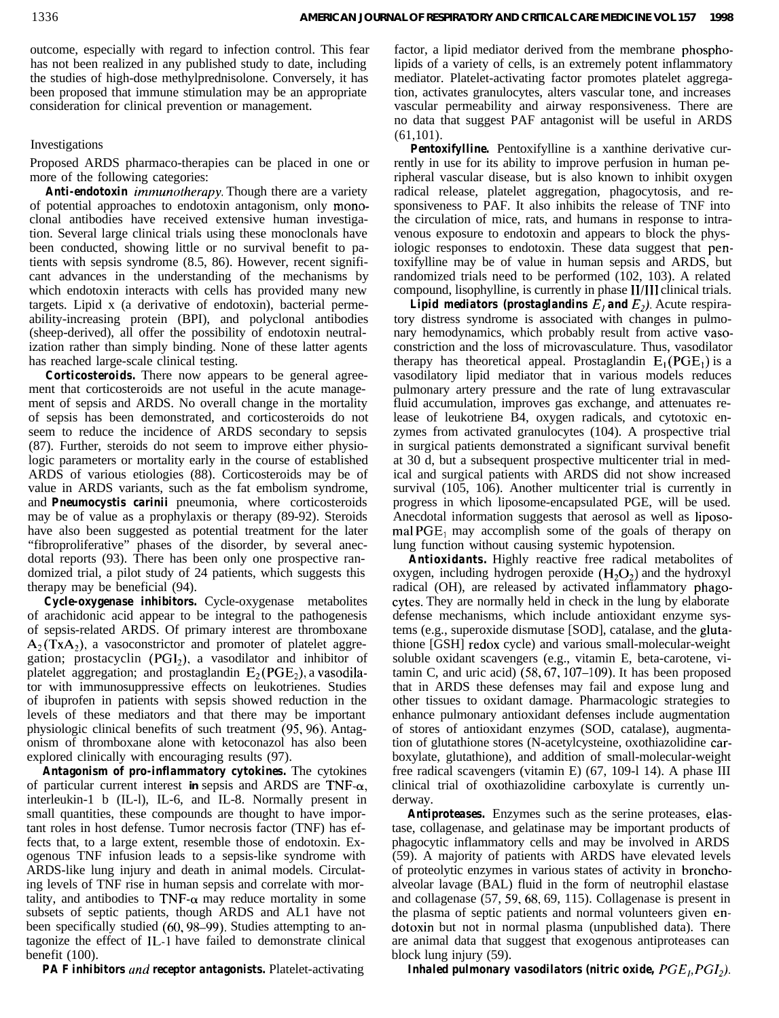outcome, especially with regard to infection control. This fear has not been realized in any published study to date, including the studies of high-dose methylprednisolone. Conversely, it has been proposed that immune stimulation may be an appropriate consideration for clinical prevention or management.

# Investigations

Proposed ARDS pharmaco-therapies can be placed in one or more of the following categories:

*Anti-endotoxin immunotherupy.* Though there are a variety of potential approaches to endotoxin antagonism, only monoclonal antibodies have received extensive human investigation. Several large clinical trials using these monoclonals have been conducted, showing little or no survival benefit to patients with sepsis syndrome (8.5, 86). However, recent significant advances in the understanding of the mechanisms by which endotoxin interacts with cells has provided many new targets. Lipid x (a derivative of endotoxin), bacterial permeability-increasing protein (BPI), and polyclonal antibodies (sheep-derived), all offer the possibility of endotoxin neutralization rather than simply binding. None of these latter agents has reached large-scale clinical testing.

*Corticosteroids.* There now appears to be general agreement that corticosteroids are not useful in the acute management of sepsis and ARDS. No overall change in the mortality of sepsis has been demonstrated, and corticosteroids do not seem to reduce the incidence of ARDS secondary to sepsis (87). Further, steroids do not seem to improve either physiologic parameters or mortality early in the course of established ARDS of various etiologies (88). Corticosteroids may be of value in ARDS variants, such as the fat embolism syndrome, and *Pneumocystis carinii* pneumonia, where corticosteroids may be of value as a prophylaxis or therapy (89-92). Steroids have also been suggested as potential treatment for the later "fibroproliferative" phases of the disorder, by several anecdotal reports (93). There has been only one prospective randomized trial, a pilot study of 24 patients, which suggests this therapy may be beneficial (94).

*Cycle-oxygenase inhibitors.* Cycle-oxygenase metabolites of arachidonic acid appear to be integral to the pathogenesis of sepsis-related ARDS. Of primary interest are thromboxane  $A_2(TxA_2)$ , a vasoconstrictor and promoter of platelet aggregation; prostacyclin  $(PGI<sub>2</sub>)$ , a vasodilator and inhibitor of platelet aggregation; and prostaglandin  $E_2(PGE_2)$ , a vasodilator with immunosuppressive effects on leukotrienes. Studies of ibuprofen in patients with sepsis showed reduction in the levels of these mediators and that there may be important physiologic clinical benefits of such treatment (95,96). Antagonism of thromboxane alone with ketoconazol has also been explored clinically with encouraging results (97).

*Antagonism of pro-inflammatory cytokines.* The cytokines of particular current interest in sepsis and ARDS are TNF- $\alpha$ , interleukin-1 b (IL-l), IL-6, and IL-8. Normally present in small quantities, these compounds are thought to have important roles in host defense. Tumor necrosis factor (TNF) has effects that, to a large extent, resemble those of endotoxin. Exogenous TNF infusion leads to a sepsis-like syndrome with ARDS-like lung injury and death in animal models. Circulating levels of TNF rise in human sepsis and correlate with mortality, and antibodies to  $TNF-\alpha$  may reduce mortality in some subsets of septic patients, though ARDS and AL1 have not been specifically studied (60,98-99). Studies attempting to antagonize the effect of IL-1 have failed to demonstrate clinical benefit (100).

*PA F inhibitors and receptor antagonists. Platelet-activating* 

factor, a lipid mediator derived from the membrane phospholipids of a variety of cells, is an extremely potent inflammatory mediator. Platelet-activating factor promotes platelet aggregation, activates granulocytes, alters vascular tone, and increases vascular permeability and airway responsiveness. There are no data that suggest PAF antagonist will be useful in ARDS (61,101).

**Pentoxifylline.** Pentoxifylline is a xanthine derivative currently in use for its ability to improve perfusion in human peripheral vascular disease, but is also known to inhibit oxygen radical release, platelet aggregation, phagocytosis, and responsiveness to PAF. It also inhibits the release of TNF into the circulation of mice, rats, and humans in response to intravenous exposure to endotoxin and appears to block the physiologic responses to endotoxin. These data suggest that pentoxifylline may be of value in human sepsis and ARDS, but randomized trials need to be performed (102, 103). A related compound, lisophylline, is currently in phase II/III clinical trials.

*Lipid mediators (prostaglandins*  $E_1$  *and*  $E_2$ *). Acute respira*tory distress syndrome is associated with changes in pulmonary hemodynamics, which probably result from active vasoconstriction and the loss of microvasculature. Thus, vasodilator therapy has theoretical appeal. Prostaglandin  $E_1(PGE_1)$  is a vasodilatory lipid mediator that in various models reduces pulmonary artery pressure and the rate of lung extravascular fluid accumulation, improves gas exchange, and attenuates release of leukotriene B4, oxygen radicals, and cytotoxic enzymes from activated granulocytes (104). A prospective trial in surgical patients demonstrated a significant survival benefit at 30 d, but a subsequent prospective multicenter trial in medical and surgical patients with ARDS did not show increased survival (105, 106). Another multicenter trial is currently in progress in which liposome-encapsulated PGE, will be used. Anecdotal information suggests that aerosol as well as liposo $m$ al  $PGE_1$  may accomplish some of the goals of therapy on lung function without causing systemic hypotension.

*Antioxidants.* Highly reactive free radical metabolites of oxygen, including hydrogen peroxide  $(H<sub>2</sub>O<sub>2</sub>)$  and the hydroxyl radical (OH), are released by activated inflammatory phagocytes. They are normally held in check in the lung by elaborate defense mechanisms, which include antioxidant enzyme systems (e.g., superoxide dismutase [SOD], catalase, and the glutathione [GSH] redox cycle) and various small-molecular-weight soluble oxidant scavengers (e.g., vitamin E, beta-carotene, vitamin C, and uric acid)  $(58, 67, 107-109)$ . It has been proposed that in ARDS these defenses may fail and expose lung and other tissues to oxidant damage. Pharmacologic strategies to enhance pulmonary antioxidant defenses include augmentation of stores of antioxidant enzymes (SOD, catalase), augmentation of glutathione stores (N-acetylcysteine, oxothiazolidine carboxylate, glutathione), and addition of small-molecular-weight free radical scavengers (vitamin E) (67, 109-l 14). A phase III clinical trial of oxothiazolidine carboxylate is currently underway.

*Antiproteases.* Enzymes such as the serine proteases, elastase, collagenase, and gelatinase may be important products of phagocytic inflammatory cells and may be involved in ARDS (59). A majority of patients with ARDS have elevated levels of proteolytic enzymes in various states of activity in bronchoalveolar lavage (BAL) fluid in the form of neutrophil elastase and collagenase (57, 59,68, 69, 115). Collagenase is present in the plasma of septic patients and normal volunteers given endotoxin but not in normal plasma (unpublished data). There are animal data that suggest that exogenous antiproteases can block lung injury (59).

*Inhaled pulmonary vasodilators (nitric oxide, PGE,, PGI,).*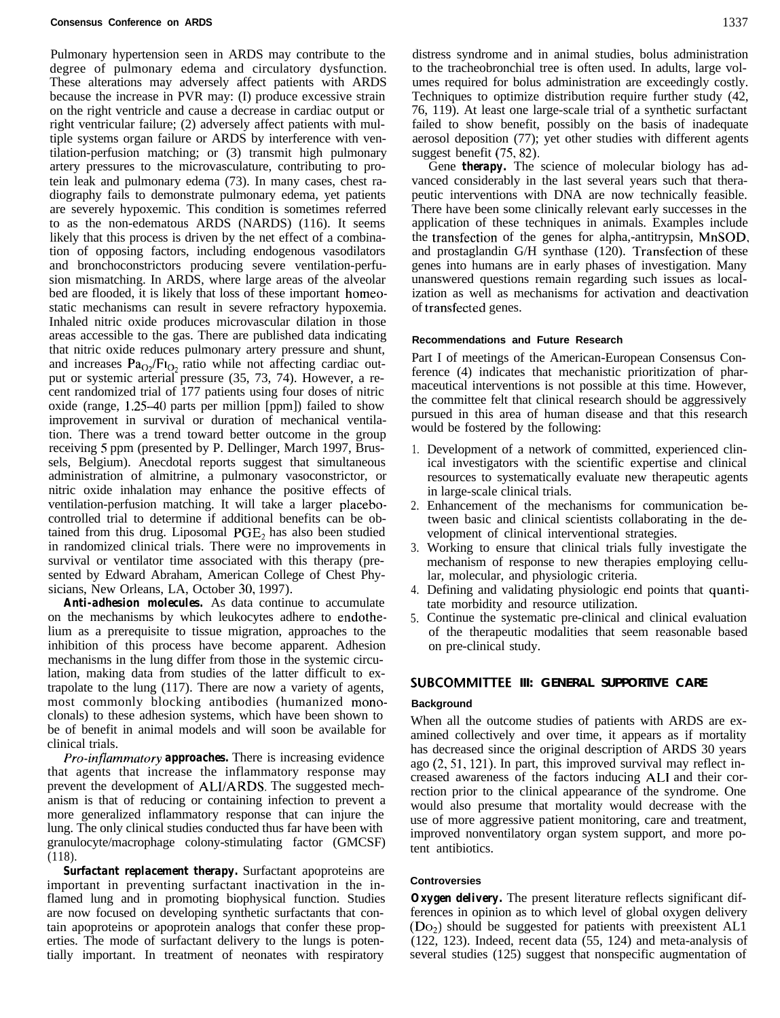#### **Consensus Conference on ARDS**

Pulmonary hypertension seen in ARDS may contribute to the degree of pulmonary edema and circulatory dysfunction. These alterations may adversely affect patients with ARDS because the increase in PVR may: (I) produce excessive strain on the right ventricle and cause a decrease in cardiac output or right ventricular failure; (2) adversely affect patients with multiple systems organ failure or ARDS by interference with ventilation-perfusion matching; or (3) transmit high pulmonary artery pressures to the microvasculature, contributing to protein leak and pulmonary edema (73). In many cases, chest radiography fails to demonstrate pulmonary edema, yet patients are severely hypoxemic. This condition is sometimes referred to as the non-edematous ARDS (NARDS) (116). It seems likely that this process is driven by the net effect of a combination of opposing factors, including endogenous vasodilators and bronchoconstrictors producing severe ventilation-perfusion mismatching. In ARDS, where large areas of the alveolar bed are flooded, it is likely that loss of these important homeostatic mechanisms can result in severe refractory hypoxemia. Inhaled nitric oxide produces microvascular dilation in those areas accessible to the gas. There are published data indicating that nitric oxide reduces pulmonary artery pressure and shunt, and increases  $Pa_{O_2}/F_{O_2}$  ratio while not affecting cardiac output or systemic arterial pressure (35, 73, 74). However, a recent randomized trial of 177 patients using four doses of nitric oxide (range, 1.25-40 parts per million [ppm]) failed to show improvement in survival or duration of mechanical ventilation. There was a trend toward better outcome in the group receiving 5 ppm (presented by P. Dellinger, March 1997, Brussels, Belgium). Anecdotal reports suggest that simultaneous administration of almitrine, a pulmonary vasoconstrictor, or nitric oxide inhalation may enhance the positive effects of ventilation-perfusion matching. It will take a larger placebocontrolled trial to determine if additional benefits can be obtained from this drug. Liposomal  $PGE<sub>2</sub>$  has also been studied in randomized clinical trials. There were no improvements in survival or ventilator time associated with this therapy (presented by Edward Abraham, American College of Chest Physicians, New Orleans, LA, October 30, 1997).

*Anti-adhesion molecules.* As data continue to accumulate on the mechanisms by which leukocytes adhere to endothelium as a prerequisite to tissue migration, approaches to the inhibition of this process have become apparent. Adhesion mechanisms in the lung differ from those in the systemic circulation, making data from studies of the latter difficult to extrapolate to the lung (117). There are now a variety of agents, most commonly blocking antibodies (humanized monoclonals) to these adhesion systems, which have been shown to be of benefit in animal models and will soon be available for clinical trials.

*Pro-inflammatory* **approaches.** There is increasing evidence that agents that increase the inflammatory response may prevent the development of ALUARDS. The suggested mechanism is that of reducing or containing infection to prevent a more generalized inflammatory response that can injure the lung. The only clinical studies conducted thus far have been with granulocyte/macrophage colony-stimulating factor (GMCSF) (118).

**Surfactant replacement therapy.** Surfactant apoproteins are important in preventing surfactant inactivation in the inflamed lung and in promoting biophysical function. Studies are now focused on developing synthetic surfactants that contain apoproteins or apoprotein analogs that confer these properties. The mode of surfactant delivery to the lungs is potentially important. In treatment of neonates with respiratory

distress syndrome and in animal studies, bolus administration to the tracheobronchial tree is often used. In adults, large volumes required for bolus administration are exceedingly costly. Techniques to optimize distribution require further study (42, 76, 119). At least one large-scale trial of a synthetic surfactant failed to show benefit, possibly on the basis of inadequate aerosol deposition (77); yet other studies with different agents suggest benefit (75,82).

Gene **therapy.** The science of molecular biology has advanced considerably in the last several years such that therapeutic interventions with DNA are now technically feasible. There have been some clinically relevant early successes in the application of these techniques in animals. Examples include the transfection of the genes for alpha,-antitrypsin, MnSOD, and prostaglandin G/H synthase (120). Transfection of these genes into humans are in early phases of investigation. Many unanswered questions remain regarding such issues as localization as well as mechanisms for activation and deactivation of transfected genes.

# **Recommendations and Future Research**

Part I of meetings of the American-European Consensus Conference (4) indicates that mechanistic prioritization of pharmaceutical interventions is not possible at this time. However, the committee felt that clinical research should be aggressively pursued in this area of human disease and that this research would be fostered by the following:

- 1. Development of a network of committed, experienced clinical investigators with the scientific expertise and clinical resources to systematically evaluate new therapeutic agents in large-scale clinical trials.
- 2. Enhancement of the mechanisms for communication between basic and clinical scientists collaborating in the development of clinical interventional strategies.
- 3. Working to ensure that clinical trials fully investigate the mechanism of response to new therapies employing cellular, molecular, and physiologic criteria.
- 4. Defining and validating physiologic end points that quantitate morbidity and resource utilization.
- 5. Continue the systematic pre-clinical and clinical evaluation of the therapeutic modalities that seem reasonable based on pre-clinical study.

# SUBCOMMITTEE III: GENERAL SUPPORTIVE CARE

# **Background**

When all the outcome studies of patients with ARDS are examined collectively and over time, it appears as if mortality has decreased since the original description of ARDS 30 years ago (2,51,121). In part, this improved survival may reflect increased awareness of the factors inducing ALI and their correction prior to the clinical appearance of the syndrome. One would also presume that mortality would decrease with the use of more aggressive patient monitoring, care and treatment, improved nonventilatory organ system support, and more potent antibiotics.

#### **Controversies**

*Oxygen delivery.* The present literature reflects significant differences in opinion as to which level of global oxygen delivery  $(D<sub>O<sub>2</sub></sub>)$  should be suggested for patients with preexistent AL1 (122, 123). Indeed, recent data (55, 124) and meta-analysis of several studies (125) suggest that nonspecific augmentation of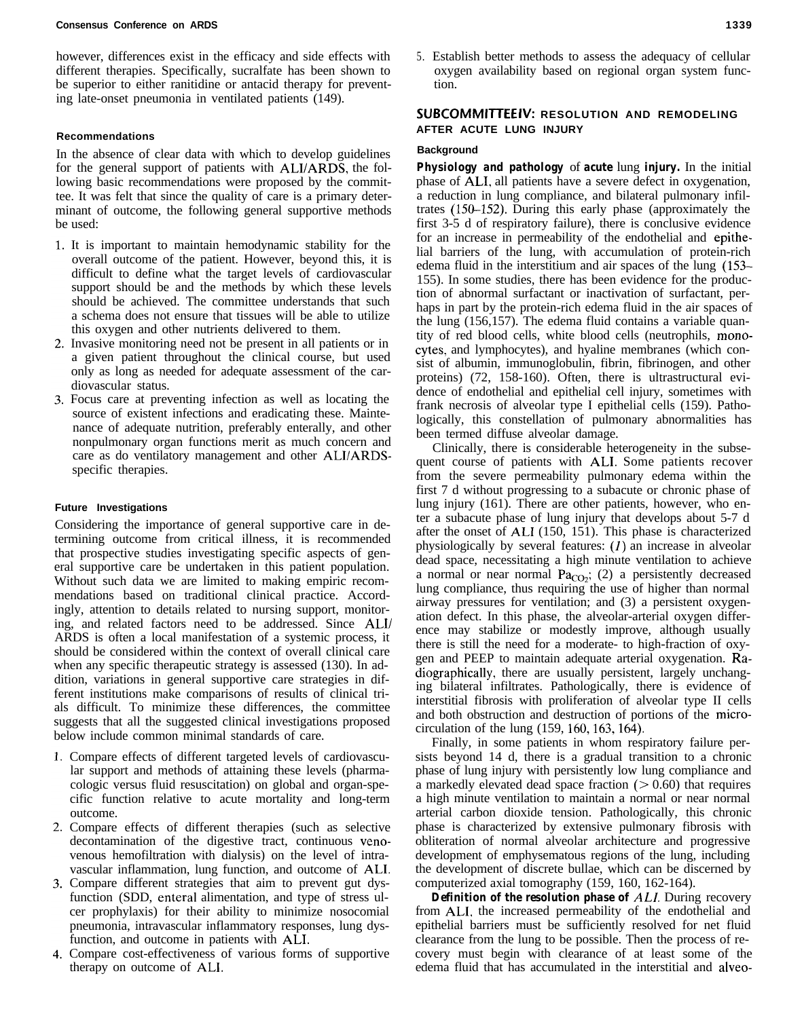however, differences exist in the efficacy and side effects with different therapies. Specifically, sucralfate has been shown to be superior to either ranitidine or antacid therapy for preventing late-onset pneumonia in ventilated patients (149).

#### **Recommendations**

In the absence of clear data with which to develop guidelines for the general support of patients with ALUARDS, the following basic recommendations were proposed by the committee. It was felt that since the quality of care is a primary determinant of outcome, the following general supportive methods be used:

- It is important to maintain hemodynamic stability for the overall outcome of the patient. However, beyond this, it is difficult to define what the target levels of cardiovascular support should be and the methods by which these levels should be achieved. The committee understands that such a schema does not ensure that tissues will be able to utilize this oxygen and other nutrients delivered to them.
- 2. Invasive monitoring need not be present in all patients or in a given patient throughout the clinical course, but used only as long as needed for adequate assessment of the cardiovascular status.
- Focus care at preventing infection as well as locating the source of existent infections and eradicating these. Maintenance of adequate nutrition, preferably enterally, and other nonpulmonary organ functions merit as much concern and care as do ventilatory management and other ALI/ARDSspecific therapies.

#### **Future Investigations**

Considering the importance of general supportive care in determining outcome from critical illness, it is recommended that prospective studies investigating specific aspects of general supportive care be undertaken in this patient population. Without such data we are limited to making empiric recommendations based on traditional clinical practice. Accordingly, attention to details related to nursing support, monitoring, and related factors need to be addressed. Since ALU ARDS is often a local manifestation of a systemic process, it should be considered within the context of overall clinical care when any specific therapeutic strategy is assessed (130). In addition, variations in general supportive care strategies in different institutions make comparisons of results of clinical trials difficult. To minimize these differences, the committee suggests that all the suggested clinical investigations proposed below include common minimal standards of care.

- Compare effects of different targeted levels of cardiovascular support and methods of attaining these levels (pharmacologic versus fluid resuscitation) on global and organ-specific function relative to acute mortality and long-term outcome.
- Compare effects of different therapies (such as selective decontamination of the digestive tract, continuous venovenous hemofiltration with dialysis) on the level of intravascular inflammation, lung function, and outcome of ALL
- 3. Compare different strategies that aim to prevent gut dysfunction (SDD, enteral alimentation, and type of stress ulcer prophylaxis) for their ability to minimize nosocomial pneumonia, intravascular inflammatory responses, lung dysfunction, and outcome in patients with ALI.
- Compare cost-effectiveness of various forms of supportive therapy on outcome of ALI.

5. Establish better methods to assess the adequacy of cellular oxygen availability based on regional organ system function.

# **SUBCOMMllTEE Iv: RESOLUTION AND REMODELING AFTER ACUTE LUNG INJURY**

#### **Background**

*Physiology and pathology* of *acute* lung *injury.* In the initial phase of ALI, all patients have a severe defect in oxygenation, a reduction in lung compliance, and bilateral pulmonary infiltrates (150-152). During this early phase (approximately the first 3-5 d of respiratory failure), there is conclusive evidence for an increase in permeability of the endothelial and epithelial barriers of the lung, with accumulation of protein-rich edema fluid in the interstitium and air spaces of the lung (153- 155). In some studies, there has been evidence for the production of abnormal surfactant or inactivation of surfactant, perhaps in part by the protein-rich edema fluid in the air spaces of the lung (156,157). The edema fluid contains a variable quantity of red blood cells, white blood cells (neutrophils, monocytes, and lymphocytes), and hyaline membranes (which consist of albumin, immunoglobulin, fibrin, fibrinogen, and other proteins) (72, 158-160). Often, there is ultrastructural evidence of endothelial and epithelial cell injury, sometimes with frank necrosis of alveolar type I epithelial cells (159). Pathologically, this constellation of pulmonary abnormalities has been termed diffuse alveolar damage.

Clinically, there is considerable heterogeneity in the subsequent course of patients with ALI. Some patients recover from the severe permeability pulmonary edema within the first 7 d without progressing to a subacute or chronic phase of lung injury (161). There are other patients, however, who enter a subacute phase of lung injury that develops about 5-7 d after the onset of AL1 (150, 151). This phase is characterized physiologically by several features:  $(I)$  an increase in alveolar dead space, necessitating a high minute ventilation to achieve a normal or near normal  $Pa_{CO}$ ; (2) a persistently decreased lung compliance, thus requiring the use of higher than normal airway pressures for ventilation; and (3) a persistent oxygenation defect. In this phase, the alveolar-arterial oxygen difference may stabilize or modestly improve, although usually there is still the need for a moderate- to high-fraction of oxygen and PEEP to maintain adequate arterial oxygenation. Radiographically, there are usually persistent, largely unchanging bilateral infiltrates. Pathologically, there is evidence of interstitial fibrosis with proliferation of alveolar type II cells and both obstruction and destruction of portions of the microcirculation of the lung (159, 160,163,164).

Finally, in some patients in whom respiratory failure persists beyond 14 d, there is a gradual transition to a chronic phase of lung injury with persistently low lung compliance and a markedly elevated dead space fraction  $(> 0.60)$  that requires a high minute ventilation to maintain a normal or near normal arterial carbon dioxide tension. Pathologically, this chronic phase is characterized by extensive pulmonary fibrosis with obliteration of normal alveolar architecture and progressive development of emphysematous regions of the lung, including the development of discrete bullae, which can be discerned by computerized axial tomography (159, 160, 162-164).

*Definition of the resolution phase of ALI. During recovery* from ALI, the increased permeability of the endothelial and epithelial barriers must be sufficiently resolved for net fluid clearance from the lung to be possible. Then the process of recovery must begin with clearance of at least some of the edema fluid that has accumulated in the interstitial and alveo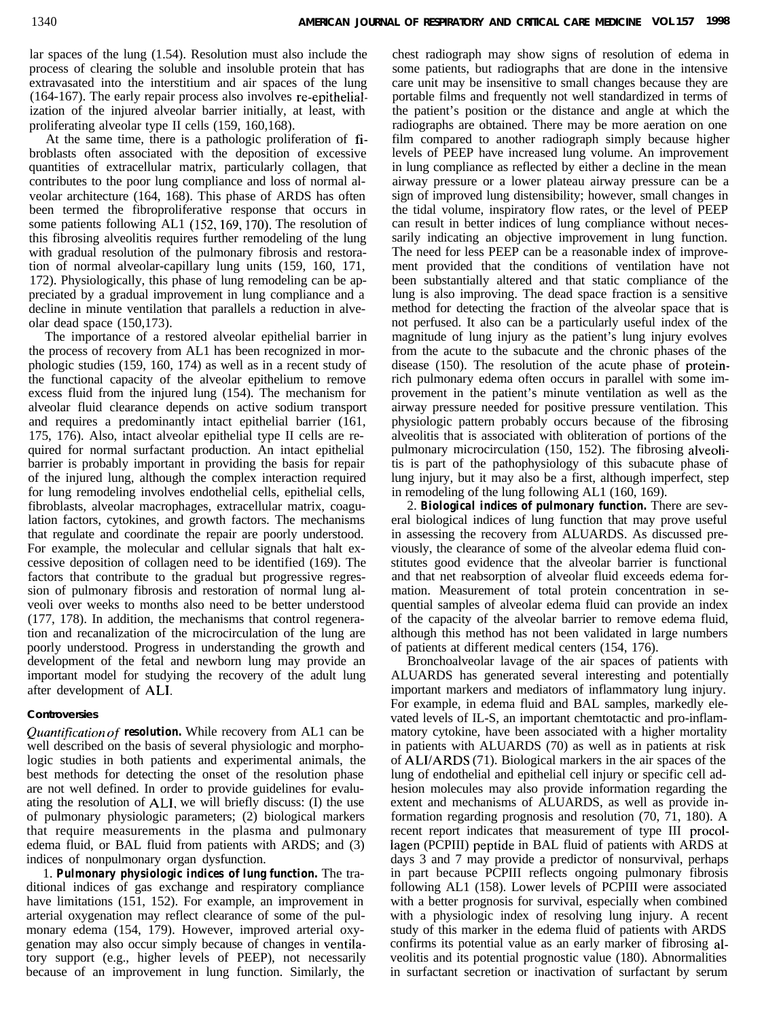lar spaces of the lung (1.54). Resolution must also include the process of clearing the soluble and insoluble protein that has extravasated into the interstitium and air spaces of the lung (164-167). The early repair process also involves re-epithelialization of the injured alveolar barrier initially, at least, with proliferating alveolar type II cells (159, 160,168).

At the same time, there is a pathologic proliferation of fibroblasts often associated with the deposition of excessive quantities of extracellular matrix, particularly collagen, that contributes to the poor lung compliance and loss of normal alveolar architecture (164, 168). This phase of ARDS has often been termed the fibroproliferative response that occurs in some patients following AL1 (152,169,170). The resolution of this fibrosing alveolitis requires further remodeling of the lung with gradual resolution of the pulmonary fibrosis and restoration of normal alveolar-capillary lung units (159, 160, 171, 172). Physiologically, this phase of lung remodeling can be appreciated by a gradual improvement in lung compliance and a decline in minute ventilation that parallels a reduction in alveolar dead space (150,173).

The importance of a restored alveolar epithelial barrier in the process of recovery from AL1 has been recognized in morphologic studies (159, 160, 174) as well as in a recent study of the functional capacity of the alveolar epithelium to remove excess fluid from the injured lung (154). The mechanism for alveolar fluid clearance depends on active sodium transport and requires a predominantly intact epithelial barrier (161, 175, 176). Also, intact alveolar epithelial type II cells are required for normal surfactant production. An intact epithelial barrier is probably important in providing the basis for repair of the injured lung, although the complex interaction required for lung remodeling involves endothelial cells, epithelial cells, fibroblasts, alveolar macrophages, extracellular matrix, coagulation factors, cytokines, and growth factors. The mechanisms that regulate and coordinate the repair are poorly understood. For example, the molecular and cellular signals that halt excessive deposition of collagen need to be identified (169). The factors that contribute to the gradual but progressive regression of pulmonary fibrosis and restoration of normal lung alveoli over weeks to months also need to be better understood (177, 178). In addition, the mechanisms that control regeneration and recanalization of the microcirculation of the lung are poorly understood. Progress in understanding the growth and development of the fetal and newborn lung may provide an important model for studying the recovery of the adult lung after development of ALI.

#### **Controversies**

Quantificafion of *resolution.* While recovery from AL1 can be well described on the basis of several physiologic and morphologic studies in both patients and experimental animals, the best methods for detecting the onset of the resolution phase are not well defined. In order to provide guidelines for evaluating the resolution of ALI, we will briefly discuss: (I) the use of pulmonary physiologic parameters; (2) biological markers that require measurements in the plasma and pulmonary edema fluid, or BAL fluid from patients with ARDS; and (3) indices of nonpulmonary organ dysfunction.

1. *Pulmonary physiologic indices of lung function.* The traditional indices of gas exchange and respiratory compliance have limitations (151, 152). For example, an improvement in arterial oxygenation may reflect clearance of some of the pulmonary edema (154, 179). However, improved arterial oxygenation may also occur simply because of changes in ventilatory support (e.g., higher levels of PEEP), not necessarily because of an improvement in lung function. Similarly, the

chest radiograph may show signs of resolution of edema in some patients, but radiographs that are done in the intensive care unit may be insensitive to small changes because they are portable films and frequently not well standardized in terms of the patient's position or the distance and angle at which the radiographs are obtained. There may be more aeration on one film compared to another radiograph simply because higher levels of PEEP have increased lung volume. An improvement in lung compliance as reflected by either a decline in the mean airway pressure or a lower plateau airway pressure can be a sign of improved lung distensibility; however, small changes in the tidal volume, inspiratory flow rates, or the level of PEEP can result in better indices of lung compliance without necessarily indicating an objective improvement in lung function. The need for less PEEP can be a reasonable index of improvement provided that the conditions of ventilation have not been substantially altered and that static compliance of the lung is also improving. The dead space fraction is a sensitive method for detecting the fraction of the alveolar space that is not perfused. It also can be a particularly useful index of the magnitude of lung injury as the patient's lung injury evolves from the acute to the subacute and the chronic phases of the disease (150). The resolution of the acute phase of proteinrich pulmonary edema often occurs in parallel with some improvement in the patient's minute ventilation as well as the airway pressure needed for positive pressure ventilation. This physiologic pattern probably occurs because of the fibrosing alveolitis that is associated with obliteration of portions of the pulmonary microcirculation (150, 152). The fibrosing alveolitis is part of the pathophysiology of this subacute phase of lung injury, but it may also be a first, although imperfect, step in remodeling of the lung following AL1 (160, 169).

2. *Biological indices of pulmonary function.* There are several biological indices of lung function that may prove useful in assessing the recovery from ALUARDS. As discussed previously, the clearance of some of the alveolar edema fluid constitutes good evidence that the alveolar barrier is functional and that net reabsorption of alveolar fluid exceeds edema formation. Measurement of total protein concentration in sequential samples of alveolar edema fluid can provide an index of the capacity of the alveolar barrier to remove edema fluid, although this method has not been validated in large numbers of patients at different medical centers (154, 176).

Bronchoalveolar lavage of the air spaces of patients with ALUARDS has generated several interesting and potentially important markers and mediators of inflammatory lung injury. For example, in edema fluid and BAL samples, markedly elevated levels of IL-S, an important chemtotactic and pro-inflammatory cytokine, have been associated with a higher mortality in patients with ALUARDS (70) as well as in patients at risk of ALUARDS (71). Biological markers in the air spaces of the lung of endothelial and epithelial cell injury or specific cell adhesion molecules may also provide information regarding the extent and mechanisms of ALUARDS, as well as provide information regarding prognosis and resolution (70, 71, 180). A recent report indicates that measurement of type III procollagen (PCPIII) peptide in BAL fluid of patients with ARDS at days 3 and 7 may provide a predictor of nonsurvival, perhaps in part because PCPIII reflects ongoing pulmonary fibrosis following AL1 (158). Lower levels of PCPIII were associated with a better prognosis for survival, especially when combined with a physiologic index of resolving lung injury. A recent study of this marker in the edema fluid of patients with ARDS confirms its potential value as an early marker of fibrosing alveolitis and its potential prognostic value (180). Abnormalities in surfactant secretion or inactivation of surfactant by serum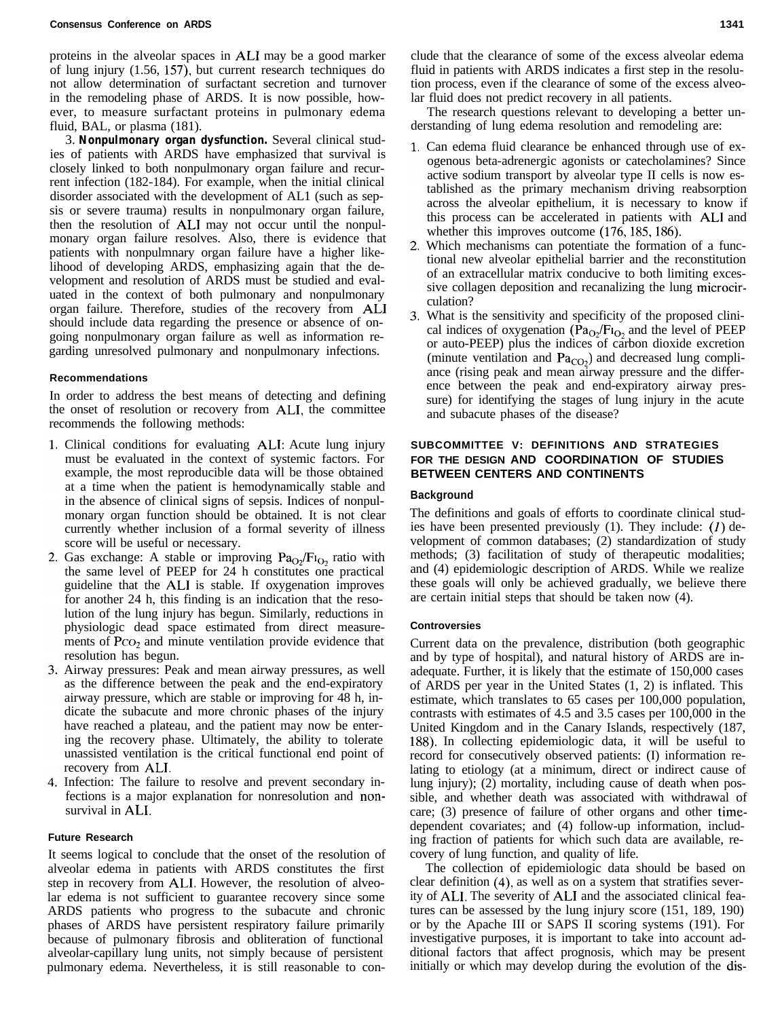proteins in the alveolar spaces in ALI may be a good marker of lung injury (1.56, 157), but current research techniques do not allow determination of surfactant secretion and turnover in the remodeling phase of ARDS. It is now possible, however, to measure surfactant proteins in pulmonary edema fluid, BAL, or plasma (181).

3. *Nonpulmonary organ dysfunction.* Several clinical studies of patients with ARDS have emphasized that survival is closely linked to both nonpulmonary organ failure and recurrent infection (182-184). For example, when the initial clinical disorder associated with the development of AL1 (such as sepsis or severe trauma) results in nonpulmonary organ failure, then the resolution of AL1 may not occur until the nonpulmonary organ failure resolves. Also, there is evidence that patients with nonpulmnary organ failure have a higher likelihood of developing ARDS, emphasizing again that the development and resolution of ARDS must be studied and evaluated in the context of both pulmonary and nonpulmonary organ failure. Therefore, studies of the recovery from AL1 should include data regarding the presence or absence of ongoing nonpulmonary organ failure as well as information regarding unresolved pulmonary and nonpulmonary infections.

#### **Recommendations**

In order to address the best means of detecting and defining the onset of resolution or recovery from ALI, the committee recommends the following methods:

- Clinical conditions for evaluating ALI: Acute lung injury must be evaluated in the context of systemic factors. For example, the most reproducible data will be those obtained at a time when the patient is hemodynamically stable and in the absence of clinical signs of sepsis. Indices of nonpulmonary organ function should be obtained. It is not clear currently whether inclusion of a formal severity of illness score will be useful or necessary.
- 2. Gas exchange: A stable or improving  $Pa_{O_2}/Fi_{O_2}$  ratio with the same level of PEEP for 24 h constitutes one practical guideline that the AL1 is stable. If oxygenation improves for another 24 h, this finding is an indication that the resolution of the lung injury has begun. Similarly, reductions in physiologic dead space estimated from direct measurements of  $PCO<sub>2</sub>$  and minute ventilation provide evidence that resolution has begun.
- Airway pressures: Peak and mean airway pressures, as well as the difference between the peak and the end-expiratory airway pressure, which are stable or improving for 48 h, indicate the subacute and more chronic phases of the injury have reached a plateau, and the patient may now be entering the recovery phase. Ultimately, the ability to tolerate unassisted ventilation is the critical functional end point of recovery from ALI.
- 4. Infection: The failure to resolve and prevent secondary infections is a major explanation for nonresolution and nonsurvival in ALI.

### **Future Research**

It seems logical to conclude that the onset of the resolution of alveolar edema in patients with ARDS constitutes the first step in recovery from ALI. However, the resolution of alveolar edema is not sufficient to guarantee recovery since some ARDS patients who progress to the subacute and chronic phases of ARDS have persistent respiratory failure primarily because of pulmonary fibrosis and obliteration of functional alveolar-capillary lung units, not simply because of persistent pulmonary edema. Nevertheless, it is still reasonable to conclude that the clearance of some of the excess alveolar edema fluid in patients with ARDS indicates a first step in the resolution process, even if the clearance of some of the excess alveolar fluid does not predict recovery in all patients.

The research questions relevant to developing a better understanding of lung edema resolution and remodeling are:

- Can edema fluid clearance be enhanced through use of exogenous beta-adrenergic agonists or catecholamines? Since active sodium transport by alveolar type II cells is now established as the primary mechanism driving reabsorption across the alveolar epithelium, it is necessary to know if this process can be accelerated in patients with AL1 and whether this improves outcome  $(176, 185, 186)$ .
- Which mechanisms can potentiate the formation of a functional new alveolar epithelial barrier and the reconstitution of an extracellular matrix conducive to both limiting excessive collagen deposition and recanalizing the lung microcirculation?
- What is the sensitivity and specificity of the proposed clinical indices of oxygenation ( $Pa<sub>O2</sub>/Fi<sub>O2</sub>$  and the level of PEEP or auto-PEEP) plus the indices of carbon dioxide excretion (minute ventilation and  $Pa_{CO_2}$ ) and decreased lung compliance (rising peak and mean airway pressure and the difference between the peak and end-expiratory airway pressure) for identifying the stages of lung injury in the acute and subacute phases of the disease?

# **SUBCOMMITTEE V: DEFINITIONS AND STRATEGIES FOR THE DESIGN AND COORDINATION OF STUDIES BETWEEN CENTERS AND CONTINENTS**

### **Background**

The definitions and goals of efforts to coordinate clinical studies have been presented previously  $(1)$ . They include:  $(1)$  development of common databases; (2) standardization of study methods; (3) facilitation of study of therapeutic modalities; and (4) epidemiologic description of ARDS. While we realize these goals will only be achieved gradually, we believe there are certain initial steps that should be taken now (4).

#### **Controversies**

Current data on the prevalence, distribution (both geographic and by type of hospital), and natural history of ARDS are inadequate. Further, it is likely that the estimate of 150,000 cases of ARDS per year in the United States (1, 2) is inflated. This estimate, which translates to 65 cases per 100,000 population, contrasts with estimates of 4.5 and 3.5 cases per 100,000 in the United Kingdom and in the Canary Islands, respectively (187, 188). In collecting epidemiologic data, it will be useful to record for consecutively observed patients: (I) information relating to etiology (at a minimum, direct or indirect cause of lung injury); (2) mortality, including cause of death when possible, and whether death was associated with withdrawal of care; (3) presence of failure of other organs and other timedependent covariates; and (4) follow-up information, including fraction of patients for which such data are available, recovery of lung function, and quality of life.

The collection of epidemiologic data should be based on clear definition (4) as well as on a system that stratifies severity of ALI. The severity of AL1 and the associated clinical features can be assessed by the lung injury score (151, 189, 190) or by the Apache III or SAPS II scoring systems (191). For investigative purposes, it is important to take into account additional factors that affect prognosis, which may be present initially or which may develop during the evolution of the dis-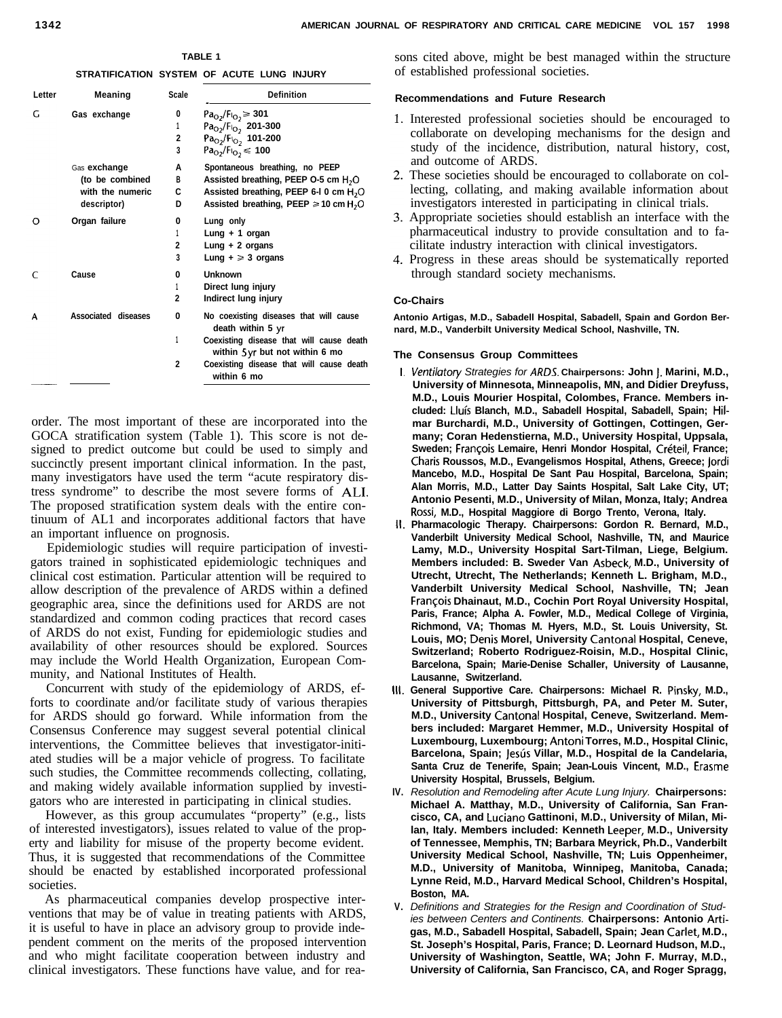| ۱B<br> |
|--------|
|--------|

| STRATIFICATION SYSTEM OF ACUTE LUNG INJURY |  |  |  |
|--------------------------------------------|--|--|--|
|                                            |  |  |  |

| Letter | Meaning             | <b>Scale</b>   | <b>Definition</b>                                                           |  |  |
|--------|---------------------|----------------|-----------------------------------------------------------------------------|--|--|
| G      | Gas exchange        | 0              |                                                                             |  |  |
|        |                     | 1              | $Pa_{O_2}/F_{I_O_2} \ge 301$<br>$Pa_{O_2}/Fi_{O_2}$ 201-300                 |  |  |
|        |                     | $\overline{2}$ | $Pa_{O_2}/F_{O_2}$ 101-200                                                  |  |  |
|        |                     | 3              | $Pa_{O_2}/F_{I_{O_2}}$ < 100                                                |  |  |
|        | Gas exchange        | A              | Spontaneous breathing, no PEEP                                              |  |  |
|        | (to be combined     | В              | Assisted breathing, PEEP 0-5 cm H <sub>2</sub> O                            |  |  |
|        | with the numeric    | C              | Assisted breathing, PEEP 6-I 0 cm H <sub>2</sub> O                          |  |  |
|        | descriptor)         | D              | Assisted breathing, PEEP $\geq 10$ cm H <sub>2</sub> O                      |  |  |
|        | Organ failure       | 0              | Lung only                                                                   |  |  |
|        |                     | 1              | Lung $+1$ organ                                                             |  |  |
|        |                     | 2              | Lung $+2$ organs                                                            |  |  |
|        |                     | 3              | Lung $+ \ge 3$ organs                                                       |  |  |
| C      | Cause               | 0              | <b>Unknown</b>                                                              |  |  |
|        |                     | 1              | Direct lung injury                                                          |  |  |
|        |                     | 2              | Indirect lung injury                                                        |  |  |
| А      | Associated diseases | 0              | No coexisting diseases that will cause<br>death within 5 yr                 |  |  |
|        |                     | 1              | Coexisting disease that will cause death<br>within 5 yr but not within 6 mo |  |  |
|        |                     | 2              | Coexisting disease that will cause death<br>within 6 mo                     |  |  |
|        |                     |                |                                                                             |  |  |

order. The most important of these are incorporated into the GOCA stratification system (Table 1). This score is not designed to predict outcome but could be used to simply and succinctly present important clinical information. In the past, many investigators have used the term "acute respiratory distress syndrome" to describe the most severe forms of ALI. The proposed stratification system deals with the entire continuum of AL1 and incorporates additional factors that have an important influence on prognosis.

Epidemiologic studies will require participation of investigators trained in sophisticated epidemiologic techniques and clinical cost estimation. Particular attention will be required to allow description of the prevalence of ARDS within a defined geographic area, since the definitions used for ARDS are not standardized and common coding practices that record cases of ARDS do not exist, Funding for epidemiologic studies and availability of other resources should be explored. Sources may include the World Health Organization, European Community, and National Institutes of Health.

Concurrent with study of the epidemiology of ARDS, efforts to coordinate and/or facilitate study of various therapies for ARDS should go forward. While information from the Consensus Conference may suggest several potential clinical interventions, the Committee believes that investigator-initiated studies will be a major vehicle of progress. To facilitate such studies, the Committee recommends collecting, collating, and making widely available information supplied by investigators who are interested in participating in clinical studies.

However, as this group accumulates "property" (e.g., lists of interested investigators), issues related to value of the property and liability for misuse of the property become evident. Thus, it is suggested that recommendations of the Committee should be enacted by established incorporated professional societies.

As pharmaceutical companies develop prospective interventions that may be of value in treating patients with ARDS, it is useful to have in place an advisory group to provide independent comment on the merits of the proposed intervention and who might facilitate cooperation between industry and clinical investigators. These functions have value, and for reasons cited above, might be best managed within the structure of established professional societies.

# **Definition Recommendations and Future Research**

- 1. Interested professional societies should be encouraged to collaborate on developing mechanisms for the design and study of the incidence, distribution, natural history, cost, and outcome of ARDS.
- These societies should be encouraged to collaborate on collecting, collating, and making available information about investigators interested in participating in clinical trials.
- Appropriate societies should establish an interface with the pharmaceutical industry to provide consultation and to facilitate industry interaction with clinical investigators.
- 4. Progress in these areas should be systematically reported through standard society mechanisms.

#### **Co-Chairs**

Antonio Artigas, M.D., Sabadell Hospital, Sabadell, Spain and Gordon Bernard, M.D., Vanderbilt University Medical School, Nashville, TN.

#### **The Consensus Group Committees**

- I, *Ventilatory Strategies for ARDS.* **Chairpersons: John J. Marini, M.D., University of Minnesota, Minneapolis, MN, and Didier Dreyfuss, M.D., Louis Mourier Hospital, Colombes, France. Members included: Lluis Blanch, M.D., Sabadell Hospital, Sabadell, Spain; Hilmar Burchardi, M.D., University of Gottingen, Cottingen, Germany; Coran Hedenstierna, M.D., University Hospital, Uppsala,** Sweden; François Lemaire, Henri Mondor Hospital, Créteil, France; **Charis Roussos, M.D., Evangelismos Hospital, Athens, Greece; Jordi Mancebo, M.D., Hospital De Sant Pau Hospital, Barcelona, Spain; Alan Morris, M.D., Latter Day Saints Hospital, Salt Lake City, UT; Antonio Pesenti, M.D., University of Milan, Monza, Italy; Andrea Rossi, M.D., Hospital Maggiore di Borgo Trento, Verona, Italy.**
- II. **Pharmacologic Therapy. Chairpersons: Gordon R. Bernard, M.D., Vanderbilt University Medical School, Nashville, TN, and Maurice Lamy, M.D., University Hospital Sart-Tilman, Liege, Belgium. Members included: B. Sweder Van Asbeck, M.D., University of Utrecht, Utrecht, The Netherlands; Kenneth L. Brigham, M.D., Vanderbilt University Medical School, Nashville, TN; Jean Francois Dhainaut, M.D., Cochin Port Royal University Hospital, Paris, France; Alpha A. Fowler, M.D., Medical College of Virginia, Richmond, VA; Thomas M. Hyers, M.D., St. Louis University, St. Louis, MO; Denis Morel, University Cantonal Hospital, Ceneve, Switzerland; Roberto Rodriguez-Roisin, M.D., Hospital Clinic, Barcelona, Spain; Marie-Denise Schaller, University of Lausanne, Lausanne, Switzerland.**
- III. **General Supportive Care. Chairpersons: Michael R. Pinsky, M.D., University of Pittsburgh, Pittsburgh, PA, and Peter M. Suter, M.D., University Cantonal Hospital, Ceneve, Switzerland. Members included: Margaret Hemmer, M.D., University Hospital of Luxembourg, Luxembourg; Antoni Torres, M.D., Hospital Clinic,** Barcelona, Spain; Jesús Villar, M.D., Hospital de la Candelaria, **Santa Cruz de Tenerife, Spain; Jean-Louis Vincent, M.D., Erasme University Hospital, Brussels, Belgium.**
- **IV.** *Resolution and Remodeling after Acute Lung Injury.* **Chairpersons: Michael A. Matthay, M.D., University of California, San Francisco, CA, and Luciano Gattinoni, M.D., University of Milan, Milan, Italy. Members included: Kenneth Leeper, M.D., University of Tennessee, Memphis, TN; Barbara Meyrick, Ph.D., Vanderbilt University Medical School, Nashville, TN; Luis Oppenheimer, M.D., University of Manitoba, Winnipeg, Manitoba, Canada; Lynne Reid, M.D., Harvard Medical School, Children's Hospital, Boston, MA.**
- **V.** *Definitions and Strategies for the Resign and Coordination of Studies between Centers and Continents.* **Chairpersons: Antonio Artigas, M.D., Sabadell Hospital, Sabadell, Spain; Jean Carlet, M.D., St. Joseph's Hospital, Paris, France; D. Leornard Hudson, M.D., University of Washington, Seattle, WA; John F. Murray, M.D., University of California, San Francisco, CA, and Roger Spragg,**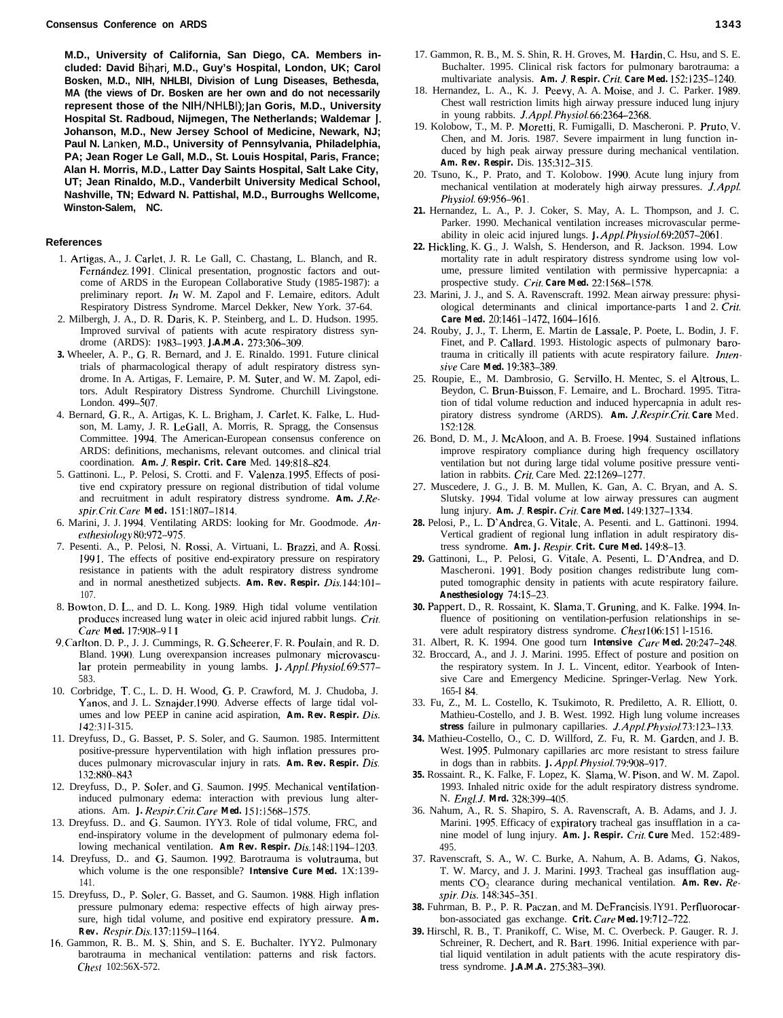**M.D., University of California, San Diego, CA. Members included: David Bihari, M.D., Guy's Hospital, London, UK; Carol Bosken, M.D., NIH, NHLBI, Division of Lung Diseases, Bethesda, MA (the views of Dr. Bosken are her own and do not necessarily represent those of the NIH/NHLBI); Jan Goris, M.D., University Hospital St. Radboud, Nijmegen, The Netherlands; Waldemar J. Johanson, M.D., New Jersey School of Medicine, Newark, NJ; Paul N. Lanken, M.D., University of Pennsylvania, Philadelphia, PA; Jean Roger Le Gall, M.D., St. Louis Hospital, Paris, France; Alan H. Morris, M.D., Latter Day Saints Hospital, Salt Lake City, UT; Jean Rinaldo, M.D., Vanderbilt University Medical School, Nashville, TN; Edward N. Pattishal, M.D., Burroughs Wellcome, Winston-Salem, NC.**

#### **References**

- 1. Artigas, A., J. Carlet, J. R. Le Gall, C. Chastang, L. Blanch, and R. Fernández. 1991. Clinical presentation, prognostic factors and outcome of ARDS in the European Collaborative Study (1985-1987): a preliminary report. In W. M. Zapol and F. Lemaire, editors. Adult Respiratory Distress Syndrome. Marcel Dekker, New York. 37-64.
- 2. Milbergh, J. A., D. R. Daris. K. P. Steinberg, and L. D. Hudson. 1995. Improved survival of patients with acute respiratory distress syndrome (ARDS): 1983-1993. *J.A.M.A. 273:306-3OY.*
- *3.* Wheeler, A. P., G. R. Bernard, and J. E. Rinaldo. 1991. Future clinical trials of pharmacological therapy of adult respiratory distress syndrome. In A. Artigas, F. Lemaire, P. M. Suter, and W. M. Zapol, editors. Adult Respiratory Distress Syndrome. Churchill Livingstone. London. 499-507.
- 4. Bernard, G. R., A. Artigas, K. L. Brigham, J. Carlet, K. Falke, L. Hudson, M. Lamy, J. R. LeGall, A. Morris, R. Spragg, the Consensus Committee. 1994. The American-European consensus conference on ARDS: definitions, mechanisms, relevant outcomes. and clinical trial coordination. *Am. J. Respir. Crit. Care* Med. 149:818-824.
- 5. Gattinoni. L., P. Pelosi, S. Crotti. and F. Valenza. 1995. Effects of positive end cxpiratory pressure on regional distribution of tidal volume and recruitment in adult respiratory distress syndrome. **Am.** J.Re*spir. Crit. Cure Med.* 151:3807-1814.
- 6. Marini, J. J. 1004. Ventilating ARDS: looking for Mr. Goodmode. *Anesthe.sio/ogy* 80:072-Y75.
- 7. Pesenti. A., P. Pelosi, N. Rossi, A. Virtuani, L. Brazzi. and A. Rossi. 1991. The effects of positive end-expiratory pressure on respiratory resistance in patients with the adult respiratory distress syndrome and in normal anesthetized subjects. *Am. Rev. Respir. Dis.* 144:101- 107.
- 8. Bowton, D. L.. and D. L. Kong. 1989. High tidal volume ventilation produces increased lung water in oleic acid injured rabbit lungs. Crit. Care Med. 17:908-9 I 1
- 9. Carlton. D. P., J. J. Cummings, R. G. Scheerer, F. R. Poulain, and R. D. Bland. 1990. Lung overexpansion increases pulmonary microvascular protein permeability in young lambs. *J. Appl. Physiof.* 69:577- 583.
- 10. Corbridge, 'T. C., L. D. H. Wood, G. P. Crawford, M. J. Chudoba, J. Yanos, and J. L. Sznajder. 1990. Adverse effects of large tidal volumes and low PEEP in canine acid aspiration, *Am. Rev. Respir. Dis.* 14231 I-315.
- 11. Dreyfuss, D., G. Basset, P. S. Soler, and G. Saumon. 1985. Intermittent positive-pressure hyperventilation with high inflation pressures produces pulmonary microvascular injury in rats. *Am. Rev. Respir. Dis.* 132:X80-843
- 12. Dreyfuss, D., P. Soler. and G. Saumon. 1995. Mechanical ventilationinduced pulmonary edema: interaction with previous lung alterations. Am. *J. Respir. Crit. Care Med.* 151:1568-1575.
- 13. Dreyfuss. D.. and G. Saumon. IYY3. Role of tidal volume, FRC, and end-inspiratory volume in the development of pulmonary edema following mechanical ventilation. **Am Rev. Respir.** Dis.148:1194-1203.
- 14. Dreyfuss, D.. and G. Saumon. 1992. Barotrauma is volutrauma, but which volume is the one responsible? *Intensive Cure Med.* 1X:139- 141.
- 15. Dreyfuss, D., P. Soler, G. Basset, and G. Saumon. 1988. High inflation pressure pulmonary edema: respective effects of high airway pressure, high tidal volume, and positive end expiratory pressure. *Am. Rev. Respir. Dis.* 137:l ISY-1164.
- I6 Gammon, R. B.. M. S. Shin, and S. E. Buchalter. lYY2. Pulmonary barotrauma in mechanical ventilation: patterns and risk factors. Chesr 102:56X-572.
- 17. Gammon, R. B., M. S. Shin, R. H. Groves, M. Hardin, C. Hsu, and S. E. Buchalter. 1995. Clinical risk factors for pulmonary barotrauma: a multivariate analysis. *Am. J. Respir. Crit. Care Med.* 152:1235-1240.
- 18. Hernandez, L. A., K. J. Peevy, A. A. Moise, and J. C. Parker. 1989. Chest wall restriction limits high airway pressure induced lung injury in young rabbits. J. *Appl. Physiol.* 66:2364-2368.
- 19. Kolobow, T., M. P. Moretti, R. Fumigalli, D. Mascheroni. P. Pruto, V. Chen, and M. Joris. 1987. Severe impairment in lung function induced by high peak airway pressure during mechanical ventilation. *Am. Rev. Respir.* Dis. 135:312-315.
- 20. Tsuno, K., P. Prato, and T. Kolobow. 1990. Acute lung injury from mechanical ventilation at moderately high airway pressures. J. *Appl. Physiol. 69:956-961.*
- *21.* Hernandez, L. A., P. J. Coker, S. May, A. L. Thompson, and J. C. Parker. 1990. Mechanical ventilation increases microvascular permeability in oleic acid injured lungs. *J. Appl. Physiol.* 69:2057-2061.
- *22.* Hickling, K. G., J. Walsh, S. Henderson, and R. Jackson. 1994. Low mortality rate in adult respiratory distress syndrome using low volume, pressure limited ventilation with permissive hypercapnia: a prospective study. *Crit. Care Med.* 22:1568-1578.
- 23. Marini, J. J., and S. A. Ravenscraft. 1992. Mean airway pressure: physiological determinants and clinical importance-parts 1 and 2. *Crit. Care Med.* 20:1461-1472, 1604-1616.
- 24. Rouby, J. J., T. Lherm, E. Martin de Lassale, P. Poete, L. Bodin, J. F. Finet, and P. Callard. 1993. Histologic aspects of pulmonary barotrauma in critically ill patients with acute respiratory failure. Intensive Care *Med.* 19:383-389.
- 25. Roupie, E., M. Dambrosio, G. Servillo, H. Mentec, S. el Altrous, L. Beydon, C. Brun-Buisson, F. Lemaire, and L. Brochard. 1995. Titration of tidal volume reduction and induced hypercapnia in adult respiratory distress syndrome (ARDS). **Am.** J. Respir. Crit. Care Med. 152:128.
- 26. Bond, D. M., J. McAloon, and A. B. Froese. 1994. Sustained inflations improve respiratory compliance during high frequency oscillatory ventilation but not during large tidal volume positive pressure ventilation in rabbits. Crit. Care Med. 22:1269-1277.
- 27. Muscedere, J. G., J. B. M. Mullen, K. Gan, A. C. Bryan, and A. S. Slutsky. 1994. Tidal volume at low airway pressures can augment lung injury. *Am. J. Respir. Crit. Care Med. 149:1327-1334.*
- *28.* Pelosi, P., L. D'Andrea, G. Vitale, A. Pesenti. and L. Gattinoni. 1994. Vertical gradient of regional lung inflation in adult respiratory distress syndrome. **Am. J.** Respir. Crit. Cure Med. 149:8-13.
- *29.* Gattinoni, L., P. Pelosi, G. Vitale. A. Pesenti, L. D'Andrea, and D. Mascheroni. 1901. Body position changes redistribute lung computed tomographic density in patients with acute respiratory failure. *Anesthesiology 74115-23.*
- *30.* Pappert, D., R. Rossaint, K. Slama, T. Gruning, and K. Falke. 1994. Influence of positioning on ventilation-perfusion relationships in severe adult respiratory distress syndrome. Chest106:151 l-1516.
- 31. Albert, R. K. 1994. One good turn **Intensive** Care Med. 20:247-248.
- 32. Broccard, A., and J. J. Marini. 1995. Effect of posture and position on the respiratory system. In J. L. Vincent, editor. Yearbook of Intensive Care and Emergency Medicine. Springer-Verlag. New York. 165-I 84.
- 33. Fu, Z., M. L. Costello, K. Tsukimoto, R. Prediletto, A. R. Elliott, 0. Mathieu-Costello, and J. B. West. 1992. High lung volume increases *stress* failure in pulmonary capillaries. J. *Appl. fhysiol. 73:123-133.*
- *34.* Mathieu-Costello, O., C. D. Willford, Z. Fu, R. M. Garden, and J. B. West. 1995. Pulmonary capillaries arc more resistant to stress failure in dogs than in rabbits. *J. Appl. Physiol.* 79:908-917.
- *35.* Rossaint. R., K. Falke, F. Lopez, K. Slama. W. Pison. and W. M. Zapol. 1993. Inhaled nitric oxide for the adult respiratory distress syndrome. N. *En@ J. Mrd.* 328:399-405.
- 36. Nahum, A., R. S. Shapiro, S. A. Ravenscraft, A. B. Adams, and J. J. Marini. 1995. Efficacy of expiratory tracheal gas insufflation in a canine model of lung injury. *Am. J. Respir. Crif. Cure* Med. 152:489- 495.
- 37. Ravenscraft, S. A., W. C. Burke, A. Nahum, A. B. Adams, G. Nakos, T. W. Marcy, and J. J. Marini. 1993. Tracheal gas insufflation augments CO<sub>2</sub> clearance during mechanical ventilation. **Am. Rev.** Re*spir. Dis. 148:345-351.*
- *38.* Fuhrman, B. P., P. R. Paczan. and M. DeFrancisis. lY91. Perfluorocarbon-associated gas exchange. **Crit.** Care Med. 19:712-722.
- *39.* Hirschl, R. B., T. Pranikoff, C. Wise, M. C. Overbeck. P. Gauger. R. J. Schreiner, R. Dechert, and R. Bart. 1996. Initial experience with partial liquid ventilation in adult patients with the acute respiratory distress syndrome. *J.A.M.A. 275:383-390.*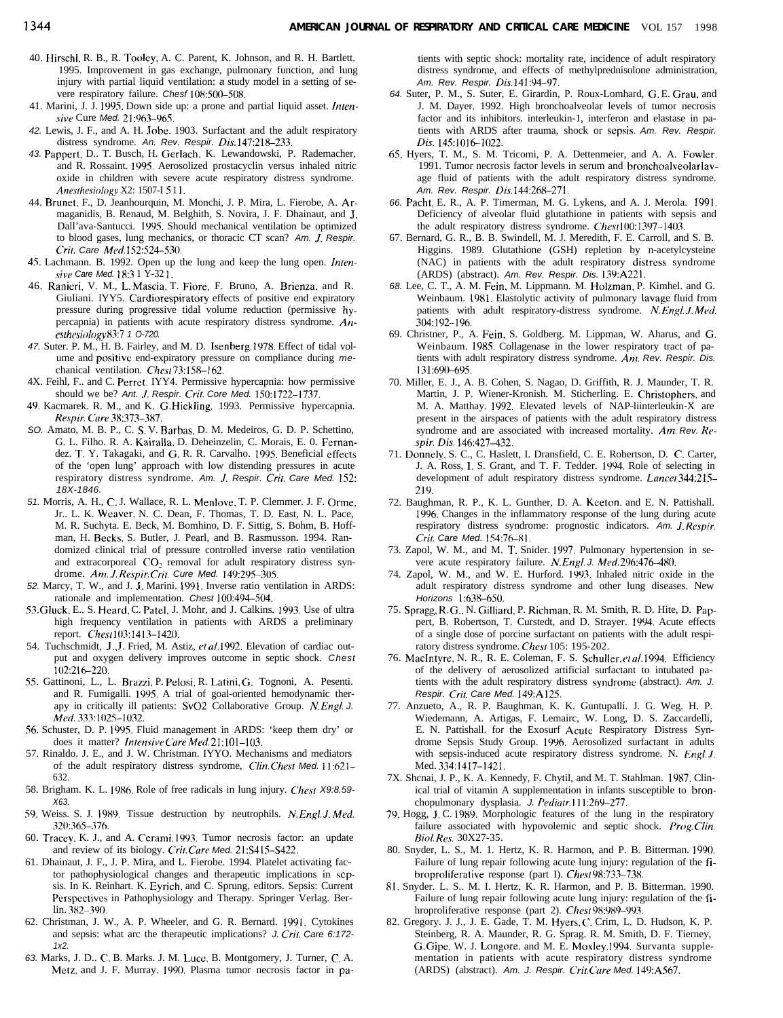- 40. Hirschl, R. B., R. Tooley, A. C. Parent, K. Johnson, and R. H. Bartlett. 1995. Improvement in gas exchange, pulmonary function, and lung injury with partial liquid ventilation: *a* study model in a setting of severe respiratory failure. *Chesf* 108:500-508.
- 41. Marini, J. J. 1995. Down side up: a prone and partial liquid asset. Intensive Cure *Med. 21:963-965.*
- *42.* Lewis, J. F., and A. H. Jobe. 1903. Surfactant and the adult respiratory distress syndrome. *An. Rev. Respir. Dis.* 147:218-233.
- *43.* Pappert, D.. T. Busch, H. Gerlach, K. Lewandowski, P. Rademacher, and R. Rossaint. 1995. Aerosolized prostacyclin versus inhaled nitric oxide in children with severe acute respiratory distress syndrome. *Anesthesiology* X2: 1507-I 5 1 1.
- 44. Brunet, F., D. Jeanhourquin, M. Monchi, J. P. Mira, L. Fierobe, A. Armaganidis, B. Renaud, M. Belghith, S. Novira, J. F. Dhainaut, and J. Dall'ava-Santucci. 1995. Should mechanical ventilation be optimized to blood gases, lung mechanics, or thoracic CT scan? *Am. J. Respir. Cri/. Care Med.* 152:524-530.
- 45. Lachmann. B. 1992. Open up the lung and keep the lung open. *Infen sive Care Med.* 18:3 1 Y-32 1.
- 46. Ranieri. V. M., IL. Mascia, T. Fiore. F. Bruno, A. Brienza, and R. Giuliani. lYY5. Cardiorespiratory effects of positive end expiratory pressure during progressive tidal volume reduction (permissive hypercapnia) in patients with acute respiratory distress syndrome. *Ane.sfhrsiology 83:7 1 O-720.*
- *47.* Suter. P. M., H. B. Fairley, and M. D. Isenberg. 1978. Effect of tidal volume and positive end-expiratory pressure on compliance during *me*chanical ventilation. Chest 73:158-162.
- 4X. Feihl, F.. and C. Perret. IYY4. Permissive hypercapnia: how permissive should we be? Ant. *J. Respir. Crit. Core Med.* 150:1722-1737.
- 49. Kacmarek. R. M., and K. G. Hickling. 1993. Permissive hypercapnia. *Rrspir. Cure 38:373-.3X7.*
- *SO.* Amato, M. B. P., C. S. V. Barbas. D. M. Medeiros, G. D. P. Schettino, G. L. Filho. R. A. Kairalla. D. Deheinzelin, C. Morais, E. 0. Fernandez. T. Y. Takagaki, and G. R. R. Carvalho. 1995. Beneficial effects of the 'open lung' approach with low distending pressures in acute respiratory distress syndrome. Am. J. Respir. Crit. Care Med. 152: *18X-1846.*
- *51.* Morris, A. H., C. J. Wallace, R. L. Menlove. T. P. Clemmer. J. F. Orme, Jr.. L. K. Weaver, N. C. Dean, F. Thomas, T. D. East, N. L. Pace, M. R. Suchyta. E. Beck, M. Bomhino, D. F. Sittig, S. Bohm, B. Hoffman, H. Becks, S. Butler, J. Pearl, and B. Rasmusson. 1994. Randomized clinical trial of pressure controlled inverse ratio ventilation and extracorporeal  $CO<sub>2</sub>$  removal for adult respiratory distress syndrome. *Anl. .I. Rexpir. Crif. Cure Med. 14Y:295-305.*
- 52. Marcy, T. W., and J. J. Marini. 1991. Inverse ratio ventilation in ARDS: rationale and implementation. *Chest* 100:494-504.
- 53. Gluck. E.. S. Heard, C. Pate]. J. Mohr, and J. Calkins. 1993. Use of ultra high frequency ventilation in patients with ARDS a preliminary report. *Chesf* 103:1413-1420.
- 54. Tuchschmidt, J., J. Fried, M. Astiz, et al.1992. Elevation of cardiac output and oxygen delivery improves outcome in septic shock. *Chest* 102:2 16-220.
- 55. Gattinoni, L., L. Brazzi, P. Pelosi, R. Latini, G. Tognoni, A. Pesenti. and R. Fumigalli. 1995. A trial of goal-oriented hemodynamic therapy in critically ill patients: SvO2 Collaborative Group. N. Engl. J. *Med.* 333:102S-1032.
- 56. Schuster, D. P. 1995. Fluid management in ARDS: 'keep them dry' or does it matter? *Intensive Care Med.* 21:101-103.
- 57. Rinaldo. J. E., and J. W. Christman. IYYO. Mechanisms and mediators of the adult respiratory distress syndrome, C/in. *Chesf Med.* 11:621- 632.
- 58. Brigham. K. L. 1986. Role of free radicals in lung injury. *Chest X9:8.59-X63.*
- 59. Weiss. S. J. 1989. Tissue destruction by neutrophils. N. Engl. J. Med. 320:36S-376.
- 60. Tracey. K. J., and A. Cerami. 1093. Tumor necrosis factor: an update and review of its biology. Crit. Care Med. 21:S415-S422.
- 61. Dhainaut, J. F., J. P. Mira, and L. Fierobe. 1994. Platelet activating factor pathophysiological changes and therapeutic implications in scpsis. In K. Reinhart. K. Eyrich. and C. Sprung, editors. Sepsis: Current Perspectives in Pathophysiology and Therapy. Springer Verlag. Berlin. 382-390.
- 62. Christman, J. W., A. P. Wheeler, and G. R. Bernard. 1901. Cytokines and sepsis: what arc the therapeutic implications? *J. Crif. Care 6:172- 1x2.*
- *63.* Marks, J. D.. C. B. Marks. J. M. Lute. B. Montgomery, J. Turner, C. A. Metz, and J. F. Murray. 1990. Plasma tumor necrosis factor in pa-

tients with septic shock: mortality rate, incidence of adult respiratory distress syndrome, and effects of methylprednisolone administration, *Am. Rev. Respir. Dis. 141:94-97.*

- *64.* Suter, P. M., S. Suter, E. Girardin, P. Roux-Lomhard, G. E. Grau, and J. M. Dayer. 1992. High bronchoalveolar levels of tumor necrosis factor and its inhibitors. interleukin-1, interferon and elastase in patients with ARDS after trauma, shock or sepsis. *Am. Rev. Respir. Dis. 145:1016-1022.*
- *65.* Hyers, T. M., S. M. Tricomi, P. A. Dettenmeier, and A. A. Fowler. 1991. Tumor necrosis factor levels in serum and bronchoalveolar lavage fluid of patients with the adult respiratory distress syndrome. *Am. Rev. Respir. Dis. 144~268-271,*
- *66.* Pacht, E. R., A. P. Timerman, M. G. Lykens, and A. J. Merola. 1091. Deficiency of alveolar fluid glutathione in patients with sepsis and the adult respiratory distress syndrome. Chest100:1397-1403.
- 67. Bernard, G. R., B. B. Swindell, M. J. Meredith, F. E. Carroll, and S. B. Higgins. 1989. Glutathione (GSH) repletion by n-acetylcysteine (NAC) in patients with the adult respiratory distress syndrome (ARDS) (abstract). *Am. Rev. Respir. Dis. 13Y:A221.*
- *68.* Lee, C. T., A. M. Fein, M. Lippmann. M. Holzman. P. Kimhel. and G. Weinbaum. 1981. Elastolytic activity of pulmonary lavage fluid from patients with adult respiratory-distress syndrome. N. Engl. J. Med. 304:392-196.
- 69. Christner, P., A. Fein, S. Goldberg. M. Lippman, W. Aharus, and G. Weinbaum. 1985. Collagenase in the lower respiratory tract of patients with adult respiratory distress syndrome. *Anl. Rev. Respir. Dis.* 131:690~695.
- 70. Miller, E. J., A. B. Cohen, S. Nagao, D. Griffith, R. J. Maunder, T. R. Martin, J. P. Wiener-Kronish. M. Sticherling. E. Christophers. and M. A. Matthay. 1992. Elevated levels of NAP-liinterleukin-X are present in the airspaces of patients with the adult respiratory distress syndrome and are associated with increased mortality. *Am. Rev. Rrspir. Dis. 146:427-432.*
- 71. Donnely, S. C., C. Haslett, I. Dransfield, C. E. Robertson, D. C. Carter, J. A. Ross, I. S. Grant, and T. F. Tedder. 1994. Role of selecting in development of adult respiratory distress syndrome. *Lnncef* 344:215- 219.
- 72. Baughman, R. P., K. L. Gunther, D. A. Keeton. and E. N. Pattishall. 1996. Changes in the inflammatory response of the lung during acute respiratory distress syndrome: prognostic indicators. Am. J. Respir. *Crit. Care Med.* 154:76-81.
- 73. Zapol, W. M., and M. T. Snider. 1997. Pulmonary hypertension in severe acute respiratory failure. N. Engl. J. Med. 296:476-480.
- 74. Zapol, W. M., and W. E. Hurford. 1993. Inhaled nitric oxide in the adult respiratory distress syndrome and other lung diseases. New *Horizons* 1:63X-650.
- 75. Spragg, R. G., N. Gilliard, P. Richman, R. M. Smith, R. D. Hite, D. Pappert, B. Robertson, T. Curstedt, and D. Strayer. 1994. Acute effects of a single dose of porcine surfactant on patients with the adult respiratory distress syndrome. *Chesf* 105: 195-202.
- 76. Maclntyre, N. R., R. E. Coleman, F. S. Schuller, *cf al.* 1994. Efficiency of the delivery of aerosolized artificial surfactant to intubated patients with the adult respiratory distress syndrome (abstract). *Am. J. Respir. Crif. Care Med.* 14Y:A125.
- 77. Anzueto, A., R. P. Baughman, K. K. Guntupalli. J. G. Weg. H. P. Wiedemann, A. Artigas, F. Lemairc, W. Long, D. S. Zaccardelli, E. N. Pattishall. for the Exosurf Acute Respiratory Distress Syndrome Sepsis Study Group. 1996. Aerosolized surfactant in adults with sepsis-induced acute respiratory distress syndrome. N. Engl.J. Med. 334:1417-1421.
- 7X. Shcnai, J. P., K. A. Kennedy, F. Chytil, and M. T. Stahlman. 1987. Clinical trial of vitamin A supplementation in infants susceptible to bronchopulmonary dysplasia. *J. Pediatr*.111:269-277.
- 79. Hogg, J. C. 1989. Morphologic features of the lung in the respiratory failure associated with hypovolemic and septic shock. Prog. Clin. *Biol. Rex* 30X27-35.
- 80. Snyder, L. S., M. 1. Hertz, K. R. Harmon, and P. B. Bitterman. 1990. Failure of lung repair following acute lung injury: regulation of the fibroproliferative response (part I). *Chest* 98:733-738.
- XI. Snyder. L. S.. M. I. Hertz, K. R. Harmon, and P. B. Bitterman. 1990. Failure of lung repair following acute lung injury: regulation of the fihroproliferative response (part 2). *Chest* 98:989-993.
- 82. Gregory. J. J., J. E. Gade, T. M. Hyers, C. Crim, L. D. Hudson, K. P. Steinberg, R. A. Maunder, R. G. Sprag. R. M. Smith, D. F. Tierney, G. Gipe, W. J. Longore, and M. E. Moxley. 1994. Survanta supplementation in patients with acute respiratory distress syndrome (ARDS) (abstract). *Am. J. Respir. Crif. Cure Med. 14Y:AS67.*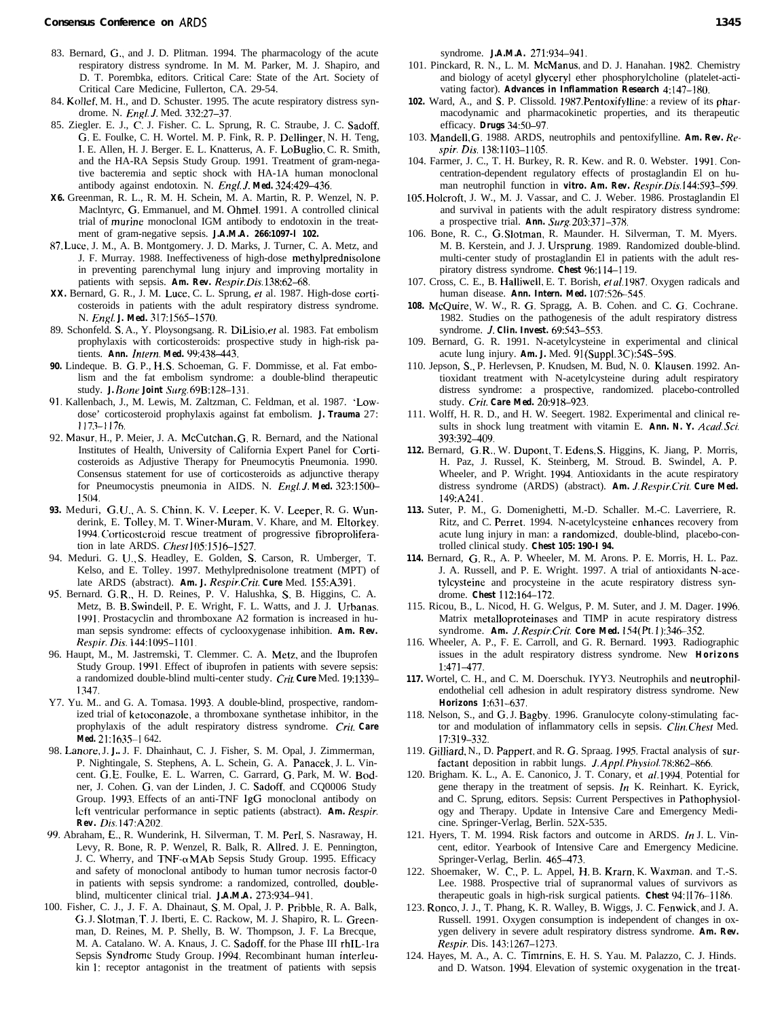- 83. Bernard, G., and J. D. Plitman. 1994. The pharmacology of the acute respiratory distress syndrome. In M. M. Parker, M. J. Shapiro, and D. T. Porembka, editors. Critical Care: State of the Art. Society of Critical Care Medicine, Fullerton, CA. 29-54.
- 84. Kollef, M. H., and D. Schuster. 1995. The acute respiratory distress syndrome. N. Engl. J. Med. 332:27-37.
- 85. Ziegler. E. J., C. J. Fisher. C. L. Sprung, R. C. Straube, J. C. Sadoff, G. E. Foulke, C. H. Wortel. M. P. Fink, R. P. Dellinger, N. H. Teng, 1. E. Allen, H. J. Berger. E. L. Knatterus, A. F. LoBuglio, C. R. Smith, and the HA-RA Sepsis Study Group. 1991. Treatment of gram-negative bacteremia and septic shock with HA-1A human monoclonal antibody against endotoxin. N. Engl. J. *Med. 324:429-436.*
- *X6.* Greenman, R. L., R. M. H. Schein, M. A. Martin, R. P. Wenzel, N. P. Maclntyrc, G. Emmanuel, and M. Ohmel. 1991. A controlled clinical trial of murine monoclonal IGM antibody to endotoxin in the treatment of gram-negative sepsis. *J.A.M.A. 266:1097-l 102.*
- *X7.* Lute. J. M., A. B. Montgomery. J. D. Marks, J. Turner, C. A. Metz, and J. F. Murray. 1988. Ineffectiveness of high-dose methylprednisolone in preventing parenchymal lung injury and improving mortality in patients with sepsis. *Am. Rev. Reyir. Dis. 138:62-68.*
- XX. Bernard, G. R., J. M. Luce, C. L. Sprung, et al. 1987. High-dose corticosteroids in patients with the adult respiratory distress syndrome. N. *Engl.* J. Med. 317:1565-1570.
- 89. Schonfeld. S. A., Y. Ploysongsang. R. DiLisio, er al. 1983. Fat embolism prophylaxis with corticosteroids: prospective study in high-risk patients. *Ann. Inlern. Med. YY:438-443.*
- **90.** Lindeque. B. G. P., H. S. Schoeman, G. F. Dommisse, et al. Fat embolism and the fat embolism syndrome: a double-blind therapeutic study. **J. Bone Joint** Surg. 69B:128-131.
- 91. Kallenbach, J., M. Lewis, M. Zaltzman, C. Feldman, et al. 1987. 'Lowdose' corticosteroid prophylaxis against fat embolism. *J. Trauma* 27: 1173-1176.
- 92. Masur, H., P. Meier, J. A. McCutchan, G. R. Bernard, and the National Institutes of Health, University of California Expert Panel for Corticosteroids as Adjustive Therapy for Pneumocytis Pneumonia. 1990. Consensus statement for use of corticosteroids as adjunctive therapy for Pneumocystis pneumonia in AIDS. N. *Engl. J. Med.* 323:1500-*1.504.*
- 93. Meduri, G.U., A. S. Chinn, K. V. Leeper, K. V. Leeper, R. G. Wunderink, E. Tolley, M. T. Winer-Muram, V. Khare, and M. Eltorkey. 1994. Corticosteroid rescue treatment of progressive fibroproliferation in late ARDS. Chest 105:1516-1527.
- 94. Meduri. G. U., S. Headley, E. Golden, S. Carson, R. Umberger, T. Kelso, and E. Tolley. 1997. Methylprednisolone treatment (MPT) of late ARDS (abstract). **Am. J.** Respir Crit. Cure Med. 155:A391.
- Y5. Bernard. G. R., H. D. Reines, P. V. Halushka, S. B. Higgins, C. A. Metz, B. B. Swindell, P. E. Wright, F. L. Watts, and J. J. Urbanas. 1991. Prostacyclin and thromboxane A2 formation is increased in human sepsis syndrome: effects of cyclooxygenase inhibition. *Am. Rev. Respir. Dis.* 144:1095-1101.
- 96. Haupt, M., M. Jastremski, T. Clemmer. C. A. Metz, and the Ibuprofen Study Group. 1991. Effect of ibuprofen in patients with severe sepsis: a randomized double-blind multi-center study. *Crit. Cure* Med. 19:1339- 1347.
- Y7. Yu. M.. and G. A. Tomasa. 1093. A double-blind, prospective, randomized trial of ketoconazole. a thromboxane synthetase inhibitor, in the prophylaxis of the adult respiratory distress syndrome. *Crit. Care Med.* 21:1635-l 642.
- 98. Lanore. J. *J..* J. F. Dhainhaut, C. J. Fisher, S. M. Opal, J. Zimmerman, P. Nightingale, S. Stephens, A. L. Schein, G. A. Panacek, J. L. Vincent. G. E. Foulke, E. L. Warren, C. Garrard, G. Park, M. W. Bodner, J. Cohen. G. van der Linden, J. C. Sadoff, and CQ0006 Study Group. 1903. Effects of an anti-TNF IgG monoclonal antibody on left ventricular performance in septic patients (abstract). *Am. Respir. Rev. Dis.* 147:A202.
- 99. Abraham, E., R. Wunderink, H. Silverman, T. M. Perl, S. Nasraway, H. Levy, R. Bone, R. P. Wenzel, R. Balk, R. Allred. J. E. Pennington, J. C. Wherry, and  $TNF-\alpha MAb$  Sepsis Study Group. 1995. Efficacy and safety of monoclonal antibody to human tumor necrosis factor-0 in patients with sepsis syndrome: a randomized, controlled, doubleblind, multicenter clinical trial. *J.A.M.A. 273:934-941.*
- 100. Fisher, C. J., J. F. A. Dhainaut, S. M. Opal, J. P. Pribble, R. A. Balk, G. J. Slotman, T. J. Iberti, E. C. Rackow, M. J. Shapiro, R. L. Greenman, D. Reines, M. P. Shelly, B. W. Thompson, J. F. La Brecque, M. A. Catalano. W. A. Knaus, J. C. Sadoff, for the Phase III rhIL-lra Sepsis Syndrome Study Group. 1994. Recombinant human interleukin I: receptor antagonist in the treatment of patients with sepsis

syndrome. *J.A.M.A. 271:934-941.*

- 101. Pinckard, R. N., L. M. McManus, and D. J. Hanahan. 1982. Chemistry and biology of acetyl glyceryl ether phosphorylcholine (platelet-activating factor). *Advances in Inflammation Research 4:147-l 80.*
- 102. Ward, A., and S. P. Clissold. 1987. Pentoxifylline: a review of its pharmacodynamic and pharmacokinetic properties, and its therapeutic efficacy. **Drugs** 34:50-97.
- 103. Mandell, G. 1988. ARDS, neutrophils and pentoxifylline. *Am. Rev. Rrspir. Dis.* 138:1103-1105.
- 104. Farmer, J. C., T. H. Burkey, R. R. Kew. and R. 0. Webster. 1991. Concentration-dependent regulatory effects of prostaglandin El on human neutrophil function in *vitro. Am. Rev. Respir. Dis. 144:593-590.*
- 105. Holcroft, J. W., M. J. Vassar, and C. J. Weber. 1986. Prostaglandin El and survival in patients with the adult respiratory distress syndrome: a prospective trial. *Ann. Surg.* 203:371-37X.
- 106. Bone, R. C., G. Slotman, R. Maunder. H. Silverman, T. M. Myers. M. B. Kerstein, and J. J. Ursprung. 1989. Randomized double-blind. multi-center study of prostaglandin El in patients with the adult respiratory distress syndrome. *Chest* 96:114-l 19.
- 107. Cross, C. E., B. Halliwell, E. T. Borish, et al. 1987. Oxygen radicals and human disease. *Ann. Intern. Med. 107:526-545.*
- *108.* McQuire, W. W., R. G. Spragg, A. B. Cohen. and C. G. Cochrane. 1982. Studies on the pathogenesis of the adult respiratory distress syndrome. *J. Clin. Invest.* 69:543-553.
- 109. Bernard, G. R. 1991. N-acetylcysteine in experimental and clinical acute lung injury. **Am. J.** Med. 91(Suppl. 3C):54S-59S.
- 110. Jepson, S., P. Herlevsen, P. Knudsen, M. Bud, N. 0. Klausen. 1992. Antioxidant treatment with N-acetylcysteine during adult respiratory distress syndrome: a prospective, randomized. placebo-controlled study. *Crit. Care Med. 20:918-923.*
- 111. Wolff, H. R. D., and H. W. Seegert. 1982. Experimental and clinical results in shock lung treatment with vitamin E. *Ann. N. Y. Acad. Sci. 393:392409.*
- 112. Bernard, G.R., W. Dupont, T. Edens, S. Higgins, K. Jiang, P. Morris, H. Paz, J. Russel, K. Steinberg, M. Stroud. B. Swindel, A. P. Wheeler, and P. Wright. 1994. Antioxidants in the acute respiratory distress syndrome (ARDS) (abstract). **Am. J. Respir. Crit. Cure Med.** *149:A241.*
- *113.* Suter, P. M., G. Domenighetti, M.-D. Schaller. M.-C. Laverriere, R. Ritz, and C. Perret. 1994. N-acetylcysteine enhances recovery from acute lung injury in man: a randomized. double-blind, placebo-controlled clinical study. *Chest 105: 190-I 94.*
- *114.* Bernard, G. R., A. P. Wheeler, M. M. Arons. P. E. Morris, H. L. Paz. J. A. Russell, and P. E. Wright. 1997. A trial of antioxidants N-acetylcysteine and procysteine in the acute respiratory distress syndrome. *Chest* 112:164-172.
- 115. Ricou, B., L. Nicod, H. G. Welgus, P. M. Suter, and J. M. Dager. 1996. Matrix metalloproteinases and TIMP in acute respiratory distress syndrome. **Am.** J. Respir. Crit. Core Med. 154(Pt.1):346-352.
- 116. Wheeler, A. P., F. E. Carroll, and G. R. Bernard. 1993. Radiographic issues in the adult respiratory distress syndrome. New *Horizons 1:471477.*
- *117.* Wortel, C. H., and C. M. Doerschuk. IYY3. Neutrophils and neutrophilendothelial cell adhesion in adult respiratory distress syndrome. New *Horizons* <sup>I</sup> *:631-637.*
- 118. Nelson, S., and G. J. Bagby. 1996. Granulocyte colony-stimulating factor and modulation of inflammatory cells in sepsis. Clin. Chesr Med. 17:319-332.
- 119. Gilliard, N., D. Pappert, and R. G. Spraag. 1995. Fractal analysis of *sur*factant deposition in rabbit lungs. *J. Appl. Physiol.* 78:862-866.
- 120. Brigham. K. L., A. E. Canonico, J. T. Conary, et al.1994. Potential for gene therapy in the treatment of sepsis. *In* K. Reinhart. K. Eyrick, and C. Sprung, editors. Sepsis: Current Perspectives in Pathophysiology and Therapy. Update in Intensive Care and Emergency Medicine. Springer-Verlag, Berlin. 52X-535.
- 121. Hyers, T. M. 1994. Risk factors and outcome in ARDS. fn J. L. Vincent, editor. Yearbook of Intensive Care and Emergency Medicine. Springer-Verlag, Berlin. 465-473.
- 122. Shoemaker, W. C., P. L. Appel, H. B. Kram, K. Waxman. and T.-S. Lee. 1988. Prospective trial of supranormal values of survivors as therapeutic goals in high-risk surgical patients. **Chest** 94:1176-1186.
- 123. Ronco, J. J., T. Phang, K. R. Walley, B. Wiggs, J. C. Fenwick, and J. A. Russell. 1991. Oxygen consumption is independent of changes in oxygen delivery in severe adult respiratory distress syndrome. *Am. Rev. Respir.* Dis. 143:1267-1273.
- 124. Hayes, M. A., A. C. Timrnins, E. H. S. Yau. M. Palazzo, C. J. Hinds. and D. Watson. 1994. Elevation of systemic oxygenation in the treat-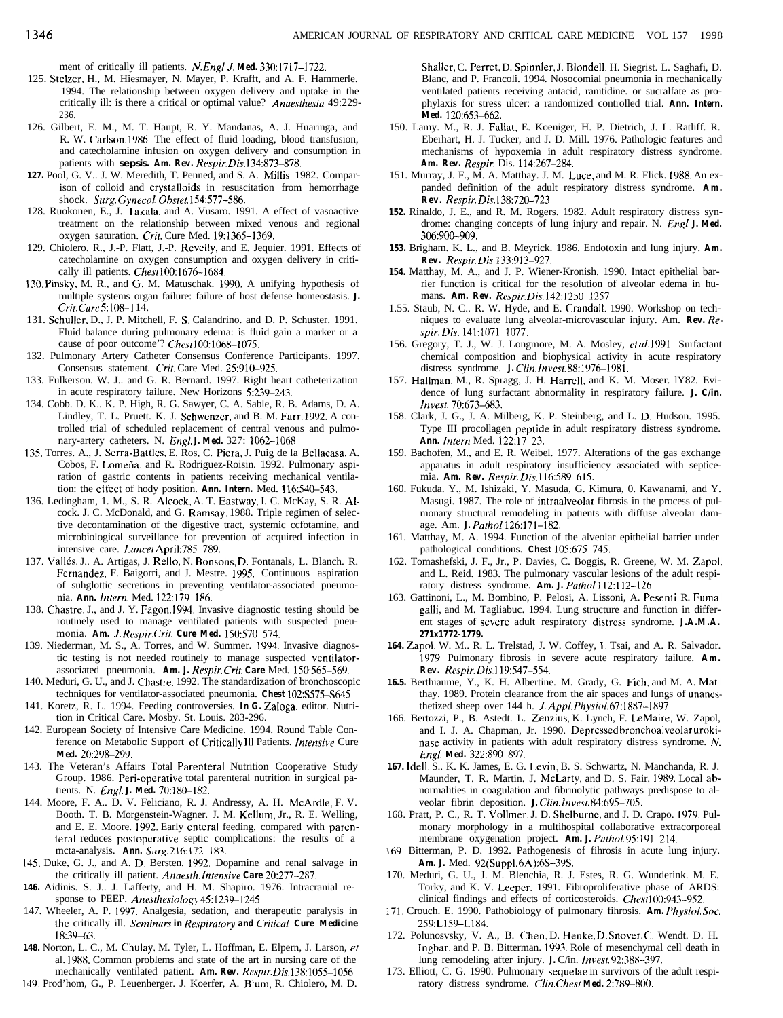ment of critically ill patients. N. Engl. J. Med. 330:1717-1722.

- 125. Stelzer, H., M. Hiesmayer, N. Mayer, P. Krafft, and A. F. Hammerle. 1994. The relationship between oxygen delivery and uptake in the critically ill: is there a critical or optimal value? *Anaesthesiu* 49:229- 236.
- 126. Gilbert, E. M., M. T. Haupt, R. Y. Mandanas, A. J. Huaringa, and R. W. Carlson. 1986. The effect of fluid loading, blood transfusion, and catecholamine infusion on oxygen delivery and consumption in patients with **sepsis.** *Am. Rev. Rapir. Dis. 134:873-878.*
- 127. Pool, G. V.. J. W. Meredith, T. Penned, and S. A. Millis. 1982. Comparison of colloid and crystalloids in resuscitation from hemorrhage shock. Surg. Gynecol. Obstet. 154:577-586.
- 128. Ruokonen, E., J. Takala, and A. Vusaro. 1991. A effect of vasoactive treatment on the relationship between mixed venous and regional oxygen saturation. Crif. Cure Med. 19:1365-1369.
- 129. Chiolero. R., J.-P. Flatt, J.-P. Revelly, and E. Jequier. 1991. Effects of catecholamine on oxygen consumption and oxygen delivery in critically ill patients. Chest 100:1676-1684.
- 130. Pinsky, M. R., and G. M. Matuschak. 1990. A unifying hypothesis of multiple systems organ failure: failure of host defense homeostasis. *J. Crit. Cow* 5:10x-1 14.
- 131. Schuller, D., J. P. Mitchell, F. S. Calandrino. and D. P. Schuster. 1991. Fluid balance during pulmonary edema: is fluid gain a marker or a cause of poor outcome'? Chest100:1068-1075.
- 132. Pulmonary Artery Catheter Consensus Conference Participants. 1997. Consensus statement. Crit. Care Med. 25:910-925.
- 133. Fulkerson. W. J.. and G. R. Bernard. 1997. Right heart catheterization in acute respiratory failure. New Horizons 5:239-243.
- 134. Cobb. D. K.. K. P. High, R. G. Sawyer, C. A. Sable, R. B. Adams, D. A. Lindley, T. L. Pruett. K. J. Schwenzer, and B. M. Farr. 1992. A controlled trial of scheduled replacement of central venous and pulmonary-artery catheters. N. Engl. J. Med. 327: 1062-1068.
- 135. Torres. A., J. Serra-Battles, E. Ros, C. Piera, J. Puig de la Bellacasa, A. Cobos, F. Lomeha, and R. Rodriguez-Roisin. 1992. Pulmonary aspiration of gastric contents in patients receiving mechanical ventilation: the effect of hody position. **Ann. Intern.** Med. 116:540-543.
- 136. Ledingham, 1. M., S. R. Alcock. A. T. Eastway, I. C. McKay, S. R. Alcock. J. C. McDonald, and G. Ramsay. 1988. Triple regimen of selective decontamination of the digestive tract, systemic ccfotamine, and microbiological surveillance for prevention of acquired infection in intensive care. Lancer April:785-789.
- 137. Valles, J.. A. Artigas, J. Rello. N. Bonsons, D. Fontanals, L. Blanch. R. Fernandez, F. Baigorri, and J. Mestre. 1995. Continuous aspiration of suhglottic secretions in preventing ventilator-associated pneumonia. **Ann.** *Intern*. Med. 122:179-186.
- 138. Chastre. J., and J. Y. Fagon. 1994. Invasive diagnostic testing should be routinely used to manage ventilated patients with suspected pneumonia. **Am. J. Respir. Crit. Cure Med.** 150:570-574.
- 139. Niederman, M. S., A. Torres, and W. Summer. 1994. Invasive diagnostic testing is not needed routinely to manage suspected ventilatorassociated pneumonia. **Am. J.** Respir. Crit. **Care** Med. 150:565–569.
- 140. Meduri, G. U., and J. Chastre. 1992. The standardization of bronchoscopic techniques for ventilator-associated pneumonia. **Chest** 102:S575-S645.
- 141. Koretz, R. L. 1994. Feeding controversies. *In G.* Zaloga, editor. Nutrition in Critical Care. Mosby. St. Louis. 283-296.
- 142. European Society of Intensive Care Medicine. 1994. Round Table Conference on Metabolic Support of Critically Ill Patients. Intensive Cure *Med.* 20:298-299.
- 143. The Veteran's Affairs Total Parenteral Nutrition Cooperative Study Group. 1986. Peri-operative total parenteral nutrition in surgical patients. N. *Engl.* J. Med. 70:180-182.
- 144. Moore, F. A.. D. V. Feliciano, R. J. Andressy, A. H. McArdle, F. V. Booth. T. B. Morgenstein-Wagner. J. M. Kellum, Jr., R. E. Welling, and E. E. Moore. 1992. Early enteral feeding, compared with parenteral reduces postoperative septic complications: the results of a mcta-analysis. *Ann. Surg* 216:172-183.
- 145. Duke, G. J., and A. D. Bersten. 1992. Dopamine and renal salvage in the critically ill patient. *Anaesth. intensive Care 20:277-2X7.*
- *146.* Aidinis. S. J.. J. Lafferty, and H. M. Shapiro. 1976. Intracranial response to PEEP. Anesthesiology 45:1239-1245.
- 147. Wheeler, A. P. 1997. Analgesia, sedation, and therapeutic paralysis in the critically ill. Seminars in Respiratory and Critical Cure Medicine *18:30~3.*
- 148. Norton, L. C., M. Chulay, M. Tyler, L. Hoffman, E. Elpern, J. Larson, et al. 19x8. Common problems and state of the art in nursing care of the mechanically ventilated patient. *Am. Rev. Respir. Dis. 138:1055-1056.*
- *14Y.* Prod'hom, G., P. Leuenherger. J. Koerfer, A. Blum, R. Chiolero, M. D.

Shaller, C. Perret, D. Spinnler, J. Blondell. H. Siegrist. L. Saghafi, D. Blanc, and P. Francoli. 1994. Nosocomial pneumonia in mechanically ventilated patients receiving antacid, ranitidine. or sucralfate as prophylaxis for stress ulcer: a randomized controlled trial. *Ann. Intern. Med.* 120:653-662.

- 150. Lamy. M., R. J. Fallat, E. Koeniger, H. P. Dietrich, J. L. Ratliff. R. Eberhart, H. J. Tucker, and J. D. Mill. 1976. Pathologic features and mechanisms of hypoxemia in adult respiratory distress syndrome. *Am. Rev. Respir.* Dis. 114:267-284.
- 151. Murray, J. F., M. A. Matthay. J. M. Luce, and M. R. Flick. 1988. An expanded definition of the adult respiratory distress syndrome. *Am. Rev. Respir. Dis. 138:720-723.*
- 152. Rinaldo, J. E., and R. M. Rogers. 1982. Adult respiratory distress syndrome: changing concepts of lung injury and repair. N. *Engl. J. Med. 306:900-909.*
- *153.* Brigham. K. L., and B. Meyrick. 1986. Endotoxin and lung injury. *Am. Rev. Respir. Dis. 133:913-927.*
- *154.* Matthay, M. A., and J. P. Wiener-Kronish. 1990. Intact epithelial barrier function is critical for the resolution of alveolar edema in humans. **Am. Rev.** Respir. Dis.142:1250-1257.
- 1.55. Staub, N. C.. R. W. Hyde, and E. Crandall. 1990. Workshop on techniques to evaluate lung alveolar-microvascular injury. Am. *Rev. Respir. Dis.* 141:1071-1077.
- 156. Gregory, T. J., W. J. Longmore, M. A. Mosley, et al. 1991. Surfactant chemical composition and biophysical activity in acute respiratory distress syndrome. *J. Clin. Invest.* 88:1976-1981.
- 157. Hallman, M., R. Spragg, J. H. Harrell, and K. M. Moser. lY82. Evidence of lung surfactant abnormality in respiratory failure. *J. C/in. Invest.* 70:673-683.
- 158. Clark, J. G., J. A. Milberg, K. P. Steinberg, and L. D. Hudson. 1995. Type III procollagen peptide in adult respiratory distress syndrome. *Ann. Intern* Med. 122:17-23.
- 159. Bachofen, M., and E. R. Weibel. 1977. Alterations of the gas exchange apparatus in adult respiratory insufficiency associated with septicemia. *Am. Rev. Respir.* Dis. I16:589\_61S.
- 160. Fukuda. Y., M. Ishizaki, Y. Masuda, G. Kimura, 0. Kawanami, and Y. Masugi. 1987. The role of intraalveolar fibrosis in the process of pulmonary structural remodeling in patients with diffuse alveolar damage. Am. *J. Pathol*.126:171-182.
- 161. Matthay, M. A. 1994. Function of the alveolar epithelial barrier under pathological conditions. *Chest 105:675-745.*
- 162. Tomashefski, J. F., Jr., P. Davies, C. Boggis, R. Greene, W. M. Zapol. and L. Reid. 1983. The pulmonary vascular lesions of the adult respiratory distress syndrome. **Am. J.** Pathol.112:112-126.
- 163. Gattinoni, L., M. Bombino, P. Pelosi, A. Lissoni, A. Pesenti, R. Fumagalli, and M. Tagliabuc. 1994. Lung structure and function in different stages of severe adult respiratory distress syndrome. *J.A.M.A. 271x1772-1779.*
- *164.* Zapol, W. M.. R. L. Trelstad, J. W. Coffey, 1. Tsai, and A. R. Salvador. 1979. Pulmonary fibrosis in severe acute respiratory failure. **Am.** *Rev. Respir. Dis. 139x547-554.*
- *16.5.* Berthiaume, Y., K. H. Albertine. M. Grady, G. Fich, and M. A. Matthay. 1989. Protein clearance from the air spaces and lungs of unanesthetized sheep over 144 h. *J. Appl. Physiol.* 67:1887-1897.
- 166. Bertozzi, P., B. Astedt. L. Zenzius, K. Lynch, F. LeMaire, W. Zapol, and I. J. A. Chapman, Jr. 1990. Depressed hronchoalveolar urokinase activity in patients with adult respiratory distress syndrome. N. Engl. Med. 322:890-897.
- *167.* Idell, S.. K. K. James, E. G. Levin, B. S. Schwartz, N. Manchanda, R. J. Maunder, T. R. Martin. J. McLarty, and D. S. Fair. 1989. Local abnormalities in coagulation and fibrinolytic pathways predispose to alveolar fibrin deposition. *J. Clin. Invest.* 84:695-705.
- 168. Pratt, P. C., R. T. Vollmer, J. D. Shelburne, and J. D. Crapo. 1979. Pulmonary morphology in a multihospital collaborative extracorporeal membrane oxygenation project. **Am. J.** Pathol. 95:191-214.
- 169. Bitterman, P. D. 1992. Pathogenesis of fihrosis in acute lung injury. Am. J. Med. 92(Suppl. 6A):6S-39S.
- 170. Meduri, G. U., J. M. Blenchia, R. J. Estes, R. G. Wunderink. M. E. Torky, and K. V. Leeper. 1991. Fibroproliferative phase of ARDS: clinical findings and effects of corticosteroids. Chest 100:943-952.
- 171. Crouch. E. 1990. Pathobiology of pulmonary fihrosis. **Am.** Physiol. Soc. 25Y:L159-L184.
- 172. Polunosvsky, V. A., B. Chen, D. Henke, D. Snover. C. Wendt. D. H. Ingbar. and P. B. Bitterman. l9Y3. Role of mesenchymal cell death in lung remodeling after injury. *J. C/in. Invest.* 92:388-397.
- 173. Elliott, C. G. 1990. Pulmonary sequelae in survivors of the adult respiratory distress syndrome. *Clin. Chest Med.* 2:789-800.